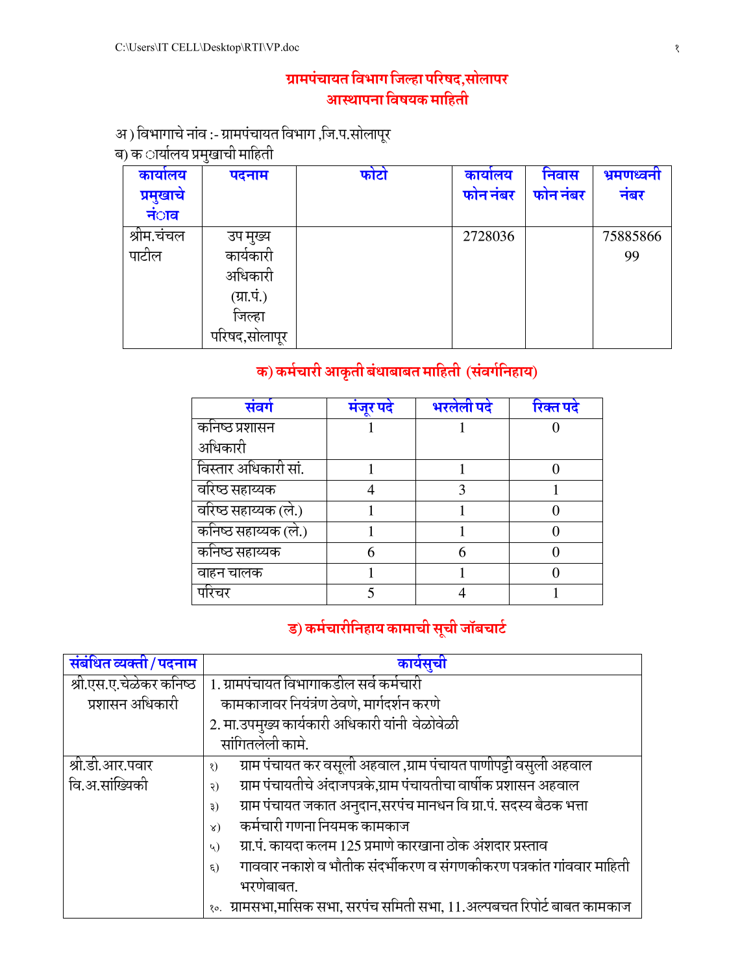## ग्रामपंचायत विभाग जिल्हा परिषद,सोलापर आस्थापना विषयक माहिती

# अ ) विभागाचे नांव :- ग्रामपंचायत विभाग ,जि.प.सोलापूर<br>ब) क ार्यालय प्रमुखाची माहिती

| कार्यालय<br>प्रमुखाचे<br>न <b>ा</b> व | ◡<br>पदनाम                                                                | फोटो | कार्यालय<br>फोन नंबर | निवास<br>फोन नंबर | भ्रमणध्वनी<br>नबर |
|---------------------------------------|---------------------------------------------------------------------------|------|----------------------|-------------------|-------------------|
| श्रीम.चंचल<br>पाटोल                   | उप मुख्य<br>कार्यकारा<br>अधिकारी<br>(ग्रा.पं.)<br>जिल्हा<br>पारषद,सालापूर |      | 2728036              |                   | 75885866<br>99    |

## क) कर्मचारी आकृती बंधाबाबत माहिती (संवर्गनिहाय)

| संवर्ग               | मंजर पर्द | भरलेली पदे | रिक्त पदे |
|----------------------|-----------|------------|-----------|
| कनिष्ठ प्रशासन       |           |            |           |
| अधिकारी              |           |            |           |
| विस्तार अधिकारी सां. |           |            |           |
| वरिष्ठ सहाय्यक       |           |            |           |
| वरिष्ठ सहाय्यक (ले.) |           |            |           |
| कनिष्ठ सहाय्यक (ले.) |           |            |           |
| कनिष्ठ सहाय्यक       | 6         |            |           |
| वाहन चालक            |           |            |           |
| पोरचर                |           |            |           |

## ड) कर्मचारीनिहाय कामाची सूची जॉबचार्ट

| संबंधित व्यक्ती / पदनाम | कार्यसूची                                                                         |
|-------------------------|-----------------------------------------------------------------------------------|
| श्री.एस.ए.चेळेकर कनिष्ठ | 1. ग्रामपंचायत विभागाकडील सर्व कर्मचारी                                           |
| प्रशासन अधिकारी         | कामकाजावर नियंत्रंण ठेवणे, मार्गदर्शन करणे                                        |
|                         | 2. मा.उपमुख्य कार्यकारी अधिकारी यांनी वेळोवेळी                                    |
|                         | सांगितलेली कामे.                                                                  |
| श्री.डी.आर.पवार         | ग्राम पंचायत कर वसूली अहवाल ,ग्राम पंचायत पाणीपट्टी वसुली अहवाल<br>$\mathcal{S}$  |
| वि.अ.सांख्यिकी          | ग्राम पंचायतीचे अंदाजपत्रके,ग्राम पंचायतीचा वार्षीक प्रशासन अहवाल<br>२)           |
|                         | ग्राम पंचायत जकात अनुदान,सरपंच मानधन वि ग्रा.पं. सदस्य बैठक भत्ता<br>३)           |
|                         | कर्मचारी गणना नियमक कामकाज<br>$\lambda)$                                          |
|                         | ग्रा.पं. कायदा कलम 125 प्रमाणे कारखाना ठोक अंशदार प्रस्ताव<br>$\mathcal{L}$       |
|                         | गाववार नकाशे व भौतीक संदर्भीकरण व संगणकीकरण पत्रकांत गांववार माहिती<br>$\xi$      |
|                         | भरणेबाबत.                                                                         |
|                         | <u> १०.   ग्रामसभा,मासिक सभा, सरपंच समिती सभा, 11.अल्पबचत रिपोर्ट बाबत कामकाज</u> |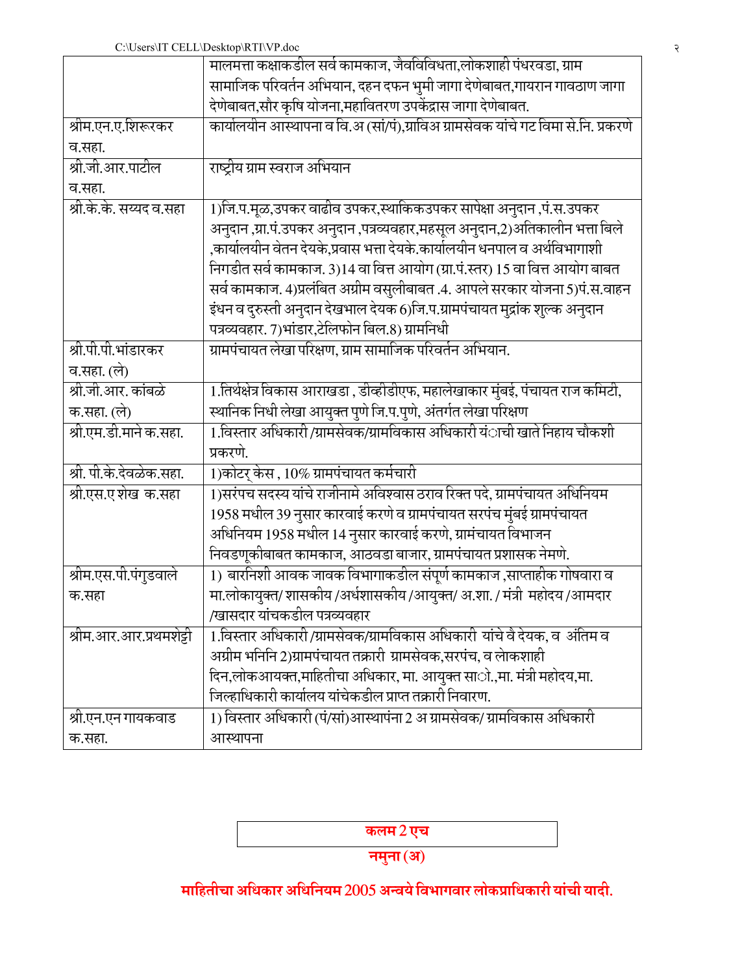|                         | मालमत्ता कक्षाकडील सर्व कामकाज, जैवविविधता,लोकशाही पंधरवडा, ग्राम                  |
|-------------------------|------------------------------------------------------------------------------------|
|                         | सामाजिक परिवर्तन अभियान, दहन दफन भुमी जागा देणेबाबत,गायरान गावठाण जागा             |
|                         | देणेबाबत,सौर कृषि योजना,महावितरण उपकेंद्रास जागा देणेबाबत.                         |
| श्रीम.एन.ए.शिरूरकर      | कार्यालयीन आस्थापना व वि.अ (सां/पं),ग्राविअ ग्रामसेवक यांचे गट विमा से.नि. प्रकरणे |
| व.सहा.                  |                                                                                    |
| श्री.जी.आर.पाटील        | राष्ट्रीय ग्राम स्वराज अभियान                                                      |
| व.सहा.                  |                                                                                    |
| श्री.के.के. सय्यद व.सहा | 1)जि.प.मूळ,उपकर वाढीव उपकर,स्थाकिकउपकर सापेक्षा अनुदान ,पं.स.उपकर                  |
|                         | अनुदान ,ग्रा.पं.उपकर अनुदान ,पत्रव्यवहार,महसूल अनुदान,2)अतिकालीन भत्ता बिले        |
|                         | ,कार्यालयीन वेतन देयके,प्रवास भत्ता देयके.कार्यालयीन धनपाल व अर्थविभागाशी          |
|                         | निगडीत सर्व कामकाज. 3)14 वा वित्त आयोग (ग्रा.पं.स्तर) 15 वा वित्त आयोग बाबत        |
|                         | सर्व कामकाज. 4)प्रलंबित अग्रीम वसुलीबाबत .4. आपले सरकार योजना 5)पं.स.वाहन          |
|                         | इंधन व दुरुस्ती अनुदान देखभाल देयक 6)जि.प.ग्रामपंचायत मुद्रांक शुल्क अनुदान        |
|                         | पत्रव्यवहार. 7)भांडार,टेलिफोन बिल.8) ग्रामनिधी                                     |
| श्री.पी.पी.भांडारकर     | ग्रामपंचायत लेखा परिक्षण, ग्राम सामाजिक परिवर्तन अभियान.                           |
| व.सहा. (ले)             |                                                                                    |
| श्री.जी.आर. कांबळे      | 1.तिर्थक्षेत्र विकास आराखडा , डीव्हीडीएफ, महालेखाकार मुंबई, पंचायत राज कमिटी,      |
| क.सहा. (ले)             | स्थानिक निधी लेखा आयुक्त पुणे जि.प.पुणे, अंतर्गत लेखा परिक्षण                      |
| श्री.एम.डी.माने क.सहा.  | 1.विस्तार अधिकारी/ग्रामसेवक/ग्रामविकास अधिकारी यंाची खाते निहाय चौकशी              |
|                         | प्रकरणे.                                                                           |
| श्री. पी.के.देवळेक.सहा. | 1)कोटर् केस , 10% ग्रामपंचायत कर्मचारी                                             |
| श्री.एस.ए शेख क.सहा     | 1)सरंपच सदस्य यांचे राजीनामे अविश्वास ठराव रिक्त पदे, ग्रामपंचायत अधिनियम          |
|                         | 1958 मधील 39 नुसार कारवाई करणे व ग्रामपंचायत सरपंच मुंबई ग्रामपंचायत               |
|                         | अधिनियम 1958 मधील 14 नुसार कारवाई करणे, ग्रामंचायत विभाजन                          |
|                         | निवडणूकीबाबत कामकाज, आठवडा बाजार, ग्रामपंचायत प्रशासक नेमणे.                       |
| श्रीम.एस.पी.पंगुडवाले   | 1) बारनिशी आवक जावक विभागाकडील संपूर्ण कामकाज ,साप्ताहीक गोषवारा व                 |
| क.सहा                   | मा.लोकायुक्त/ शासकीय /अर्धशासकीय /आयुक्त/ अ.शा. / मंत्री महोदय /आमदार              |
|                         | /खासदार यांचकडील पत्रव्यवहार                                                       |
| श्रीम.आर.आर.प्रथमशेट्टी | 1.विस्तार अधिकारी/ग्रामसेवक/ग्रामविकास अधिकारी यांचे वै देयक, व अंतिम व            |
|                         | अग्रीम भनिनि 2)ग्रामपंचायत तक्रारी ग्रामसेवक,सरपंच, व लोकशाही                      |
|                         | दिन,लोकआयक्त,माहितीचा अधिकार, मा. आयुक्त सााे.,मा. मंत्री महोदय,मा.                |
|                         | जिल्हाधिकारी कार्यालय यांचेकडील प्राप्त तक्रारी निवारण.                            |
| श्री.एन.एन गायकवाड      | 1) विस्तार अधिकारी (पं/सां)आस्थापंना 2 अ ग्रामसेवक/ ग्रामविकास अधिकारी             |
| क.सहा.                  | आस्थापना                                                                           |

कलम2एच

नमुना (अ)

माहितीचा अधिकार अधिनियम 2005 अन्वये विभागवार लोकप्राधिकारी यांची यादी.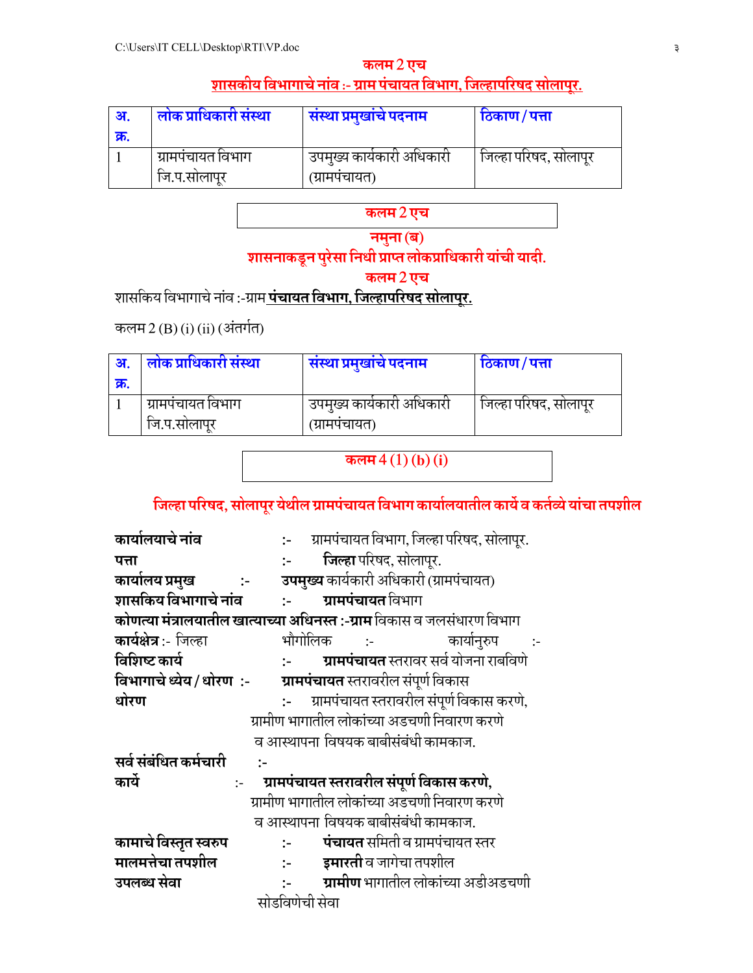#### कलम 2 एच शासकीय विभागाचे नांव :- ग्राम पंचायत विभाग, जिल्हापरिषद सोलापुर.

| ः अ         | लोक प्राधिकारी संस्था | सस्था प्रमुखाचे पदनाम       | ठिकाण/पत्ता           |
|-------------|-----------------------|-----------------------------|-----------------------|
| <u>क्र.</u> |                       |                             |                       |
|             | ग्रामपचायत विभाग      | ं उपमुख्य कार्यकारी अधिकारी | जिल्हा परिषद, सोलापूर |
|             | ोज.प.सोलापूर          | (ग्रामपचायत)                |                       |

## कलम2एच

नमुना (ब)

## शासनाकडून पुरेसा निधी प्राप्त लोकप्राधिकारी यांची यादी.

कलम2एच

शासकिय विभागाचे नांव :-ग्राम पंचायत विभाग, जिल्हापरिषद सोलापुर.

कलम 2 (B) (i) (ii) (अंतर्गत)

| अ.          | लोक प्राधिकारी संस्था | सस्था प्रमुखाचे पदनाम     | ाठकाण/पत्ता           |
|-------------|-----------------------|---------------------------|-----------------------|
| <u>क्र.</u> |                       |                           |                       |
|             | ्ग्रामपचायत विभाग     | उपमुख्य कार्यकारी अधिकारी | जिल्हा परिषद, सोलापूर |
|             | ोज.प.सोलापूर          | (ग्रामपचायत)              |                       |

कलम  $4(1)(b)(i)$ 

## जिल्हा परिषद, सोलापूर येथील ग्रामपंचायत विभाग कार्यालयातील कार्ये व कर्तव्ये यांचा तपशील

| कार्यालयाचे नांव                                       |                               | :- ग्रामपंचायत विभाग, जिल्हा परिषद, सोलापूर.                                  |
|--------------------------------------------------------|-------------------------------|-------------------------------------------------------------------------------|
| पत्ता                                                  | $1 - 1 - 1$                   | जिल्हा परिषद, सोलापूर.                                                        |
| कार्यालय प्रमुख<br>$\sim 10^{-10}$ and $\sim 10^{-10}$ |                               | <b>उपमुख्य</b> कार्यकारी अधिकारी (ग्रामपंचायत)                                |
| शासकिय विभागाचे नांव                                   |                               | :- <b>ग्रामपंचायत</b> विभाग                                                   |
|                                                        |                               | <b>कोणत्या मंत्रालयातील खात्याच्या अधिनस्त :-ग्राम</b> विकास व जलसंधारण विभाग |
| कार्यक्षेत्र:- जिल्हा                                  |                               | भौगोलिक :-<br>कार्यानुरुप                                                     |
| विशिष्ट कार्य                                          | $1 - 1$                       | <b>ग्रामपंचायत</b> स्तरावर सर्व योजना राबविणे                                 |
| विभागाचे ध्येय/धोरण :-                                 |                               | <b>ग्रामपंचायत</b> स्तरावरील संपूर्ण विकास                                    |
| धोरण                                                   |                               | :- ग्रामपंचायत स्तरावरील संपूर्ण विकास करणे,                                  |
|                                                        |                               | ग्रामीण भागातील लोकांच्या अडचणी निवारण करणे                                   |
|                                                        |                               | व आस्थापना विषयक बाबीसंबंधी कामकाज.                                           |
| सर्व संबंधित कर्मचारी<br>$\mathbf{L}$                  |                               |                                                                               |
| कार्ये                                                 |                               | :- ग्रामपंचायत स्तरावरील संपूर्ण विकास करणे,                                  |
|                                                        |                               | ग्रामीण भागातील लोकांच्या अडचणी निवारण करणे                                   |
|                                                        |                               | व आस्थापना विषयक बाबीसंबंधी कामकाज.                                           |
| कामाचे विस्तृत स्वरुप                                  | $\mathbb{H}^{\mathbb{Z}}$     | <b>पंचायत</b> समिती व ग्रामपंचायत स्तर                                        |
| मालमत्तेचा तपशील                                       | $\mathbb{H}^{\mathbb{Z}}$     | <b>इमारती</b> व जागेचा तपशील                                                  |
| उपलब्ध सेवा                                            | $\mathcal{L}^{\mathcal{L}}$ . | <b>ग्रामीण</b> भागातील लोकांच्या अडीअडचणी                                     |
|                                                        | सोडविणेची सेवा                |                                                                               |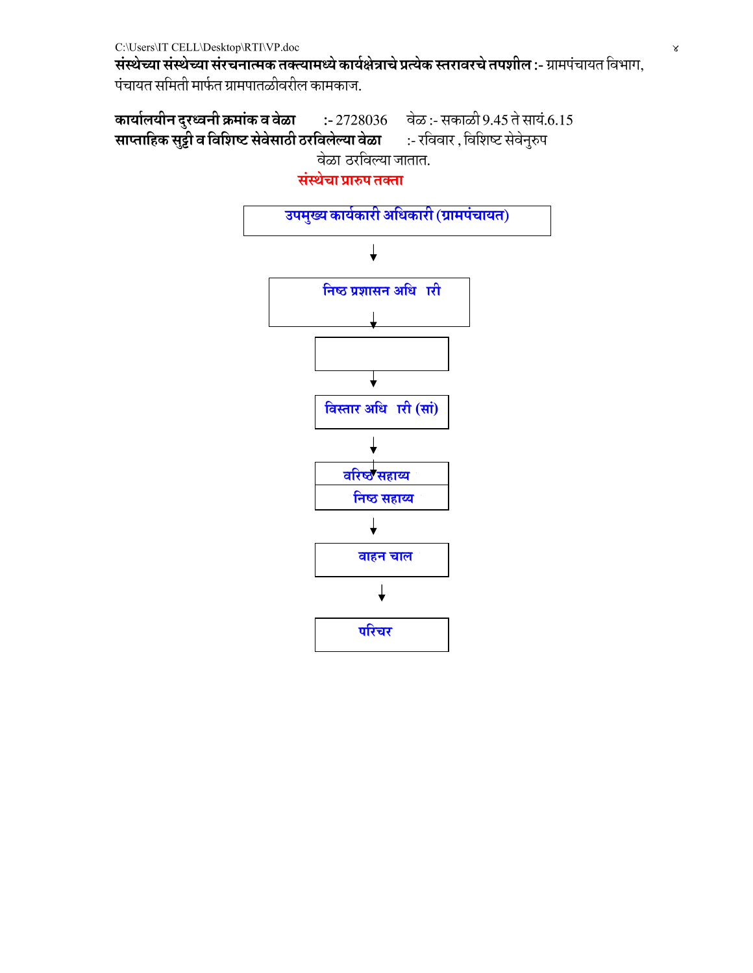संस्थेच्या संस्थेच्या संरचनात्मक तक्त्यामध्ये कार्यक्षेत्राचे प्रत्येक स्तरावरचे तपशील :- ग्रामपंचायत विभाग, पंचायत समिती मार्फत ग्रामपातळीवरील कामकाज.

कार्यालयीन दुरध्वनी क्रमांक व वेळा :- 2728036 वेळ :- सकाळी 9.45 ते सायं.6.15 साप्ताहिक सुट्टी व विशिष्ट सेवेसाठी ठरविलेल्या वेळा :- रविवार , विशिष्ट सेवेनुरुप वेळा ठरविल्या जातात.

संस्थेचा प्रारुप तक्ता

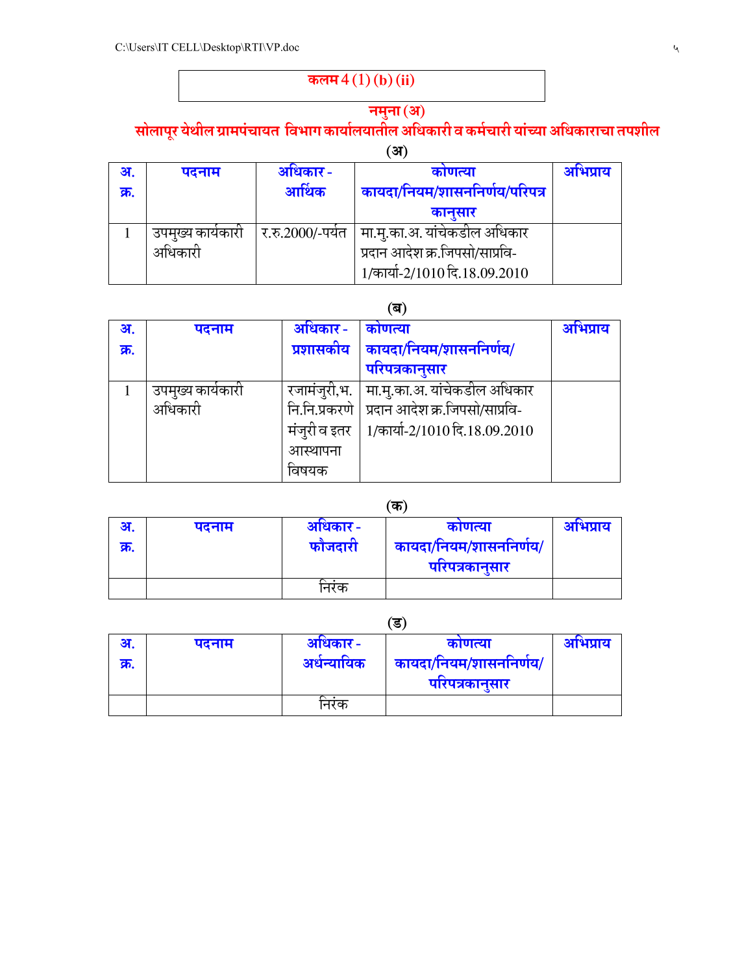## कलम $4(1)$  (b) (ii)

#### नमुना (अ) सोलापूर येथील ग्रामपंचायत विभाग कार्यालयातील अधिकारी व कर्मचारी यांच्या अधिकाराचा तपशील

|      |                   |                   | ंअ)                            |          |
|------|-------------------|-------------------|--------------------------------|----------|
| अ.   | पदनाम             | अधिकार-           | काणत्या                        | अभिप्राय |
| क्र. |                   | आर्थिक            | कायदा/नियम/शासननिर्णय/परिपत्र  |          |
|      |                   |                   | कानुसार                        |          |
|      | उपमुख्य कार्यकारी | र.रु.2000/-पर्यंत | मा.मु.का.अ. यांचेकडील अधिकार   |          |
|      | अधिकारी           |                   | प्रदान आदेश क्र.जिपसो/साप्रवि- |          |
|      |                   |                   | 1/कार्या-2/1010 दि.18.09.2010  |          |

## (&)

| अ.   | पदनाम             | अधिकार -     | काणत्या                                        | अभिप्राय |
|------|-------------------|--------------|------------------------------------------------|----------|
| क्र. |                   | प्रशासकीय    | कायदा/नियम/शासननिर्णय/                         |          |
|      |                   |              | परिपत्रकानुसार                                 |          |
|      | उपमुख्य कार्यकारी | रजामंजूरी,भ. | मा.मु.का.अ. यांचेकडील अधिकार                   |          |
|      | अधिकारी           |              | नि.नि.प्रकरणे   प्रदान आदेश क्र.जिपसो/साप्रवि- |          |
|      |                   | मंजुरी व इतर | 1/कार्या-2/1010 दि.18.09.2010                  |          |
|      |                   | आस्थापना     |                                                |          |
|      |                   | वषयक         |                                                |          |

#### $(\overline{\Phi})$

| अ.   | पदनाम | अधिकार- | काणत्या                | आभप्राय |
|------|-------|---------|------------------------|---------|
| फ्र. |       | फौजदारी | कायदा/नियम/शासननिर्णय/ |         |
|      |       |         | परिपत्रकानुसार         |         |
|      |       | निरक    |                        |         |

 $(3)$ 

| अ.   | पदनाम | अधिकार-     | काणत्या                | आभप्राय |
|------|-------|-------------|------------------------|---------|
| क्र. |       | अर्धन्यायिक | कायदा/नियम/शासननिर्णय/ |         |
|      |       |             | परिपत्रकानुसार         |         |
|      |       | निरक        |                        |         |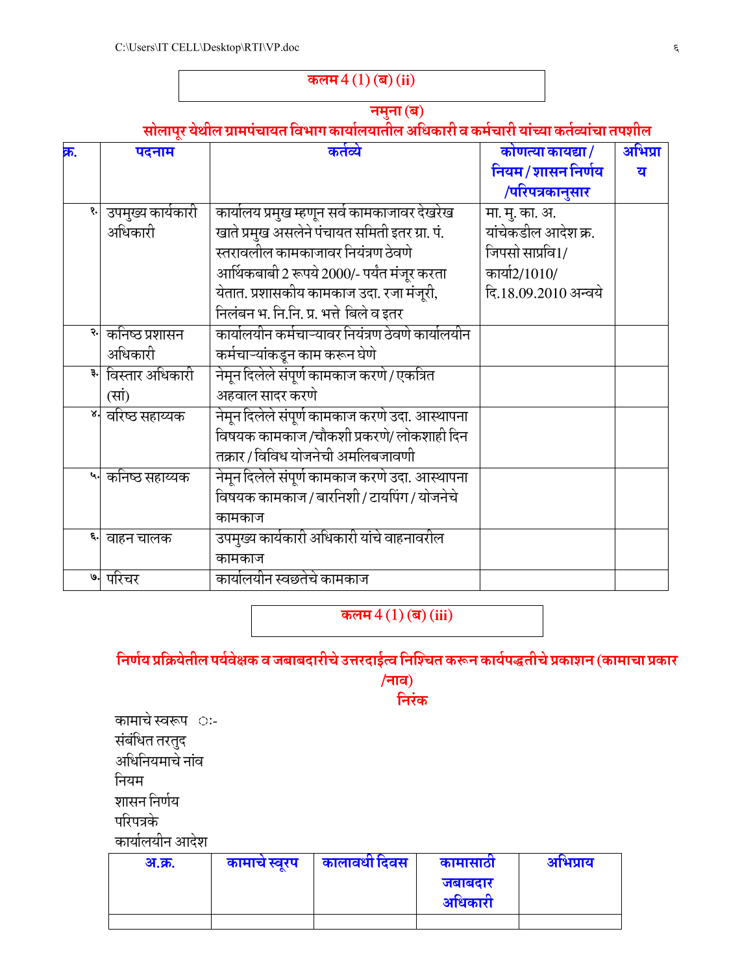## कलम $4(1)$  (ब) (ii)

#### नमुना (ब) सोलापूर येथील ग्रामपचायत विभाग कार्यालयातील अधिकारी व कर्मचारी याच्या कर्तव्याचा तपशील

| क्र. | पदनाम                              | कर्तव्ये                                          | कोणत्या कायद्या/     | अभिप्रा |
|------|------------------------------------|---------------------------------------------------|----------------------|---------|
|      |                                    |                                                   | नियम/शासन निर्णय     | य       |
|      |                                    |                                                   | /परिपत्रकानुसार      |         |
|      | उपमुख्य कार्यकारी                  | कार्यालय प्रमुख म्हणून सर्वे कामकाजावर देखरेख     | मा. मु. का. अ.       |         |
|      | अधिकारी                            | खाते प्रमुख असलेने पंचायत समिती इतर ग्रा. पं.     | यांचेकडील आदेश क्र.  |         |
|      |                                    | स्तरावलील कामकाजावर नियंत्रण ठेवणे                | जिपसो साप्रवि1/      |         |
|      |                                    | आर्थिकबाबी 2 रूपये 2000/- पर्यंत मंजूर करता       | कार्या2/1010/        |         |
|      |                                    | येतात. प्रशासकीय कामकाज उदा. रजा मंजूरी,          | दि.18.09.2010 अन्वये |         |
|      |                                    | निलंबन भ. नि.नि. प्र. भत्ते बिले व इतर            |                      |         |
|      | <mark>२ कनिष्ठ प्रशासन</mark>      | कार्यालयीन कर्मचाऱ्यावर नियंत्रण ठेवणे कार्यालयीन |                      |         |
|      | अधिकारी                            | कर्मचाऱ्यांकडून काम करून घेणे                     |                      |         |
|      | विस्तार अधिकारी                    | नेमून दिलेले संपूर्ण कामकाज करणे / एकत्रित        |                      |         |
|      | (सां)                              | अहवाल सादर करणे                                   |                      |         |
|      | ४। वरिष्ठ सहाय्यक                  | नेमून दिलेले संपूर्ण कामकाज करणे उदा. आस्थापना    |                      |         |
|      |                                    | विषयक कामकाज /चौकशी प्रकरणे/ लोकशाही दिन          |                      |         |
|      |                                    | तक्रार / विविध योजनेची अमलिबजावणी                 |                      |         |
|      | प् <mark>न</mark> े कनिष्ठ सहाय्यक | नेमून दिलेले संपूर्ण कामकाज करणे उदा. आस्थापना    |                      |         |
|      |                                    | विषयक कामकाज / बारनिशी / टायपिंग / योजनेचे        |                      |         |
|      |                                    | कामकाज                                            |                      |         |
|      | ६. वाहन चालक                       | उपमुख्य कार्यकारी अधिकारी यांचे वाहनावरील         |                      |         |
|      |                                    | कामकाज                                            |                      |         |
|      | ७. परिचर                           | कार्यालयीन स्वछतेचे कामकाज                        |                      |         |
|      |                                    |                                                   |                      |         |

कलम $4(1)$  (ब) (iii)

## निर्णय प्रक्रियेतील पर्यवेक्षक व जबाबदारीचे उत्तरदाईत्व निश्चित करून कार्यपद्धतीचे प्रकाशन (कामाचा प्रकार

/नाव) निरंक

कामाचे स्वरूप ः-संबंधित तरतुद अधिनियमाचे नाव नियम शासन निर्णय परिपत्रके

कार्यालयीन आदेश

| अ.क्र. | कामाचे स्वरप | कालावधी दिवस | कामासाठा           | आभप्राय |
|--------|--------------|--------------|--------------------|---------|
|        |              |              | जबाबदार<br>अधिकारी |         |
|        |              |              |                    |         |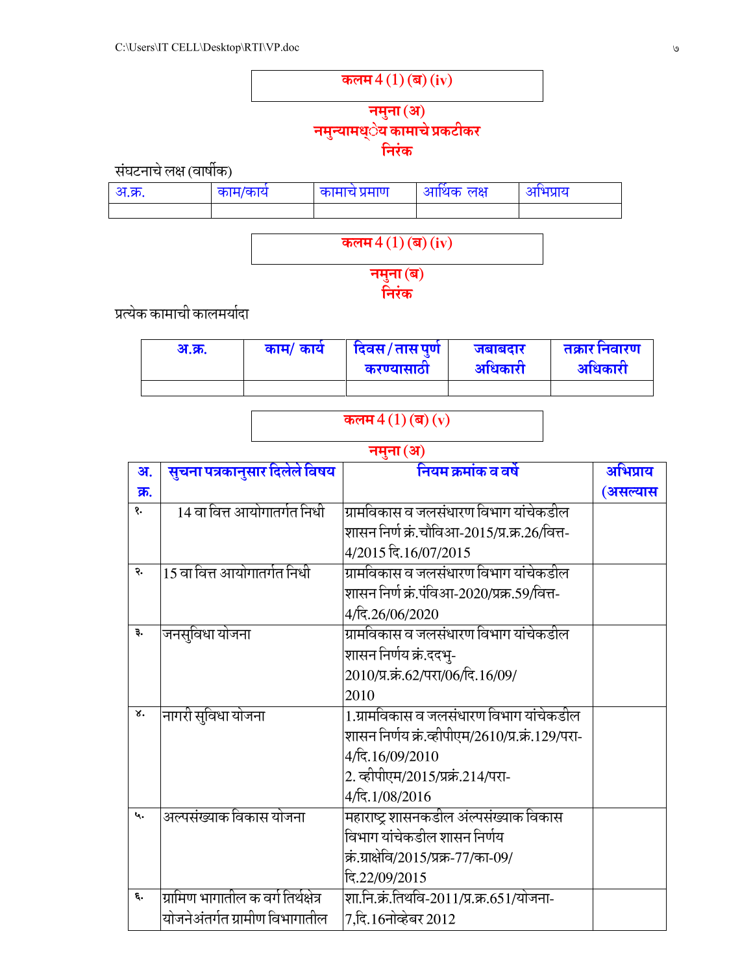

सघटनाचे लक्ष (वार्षीक)

| <u>अ.क्र.</u> | काम/काय | कामाच प्रमाण | े आर्थिक लक्ष | आभप्राय |
|---------------|---------|--------------|---------------|---------|
|               |         |              |               |         |

कलम  $4(1)$  (ब) (iv)

नमुना (ब) निरंक

प्रत्येक कामाची कालमर्यादा

| अ.क्र. | काम/ कार्य | दिवस/तासपुर्ण<br>करण्यासाठा | जबाबदार<br>अधिकारी | तक्रार निवारण<br>आंधकारी |
|--------|------------|-----------------------------|--------------------|--------------------------|
|        |            |                             |                    |                          |

#### कलम $4(1)$  (ब)  $(v)$

#### नमुना (अ) अ. क्र. सुचना पत्रकानुसार दिलेले वि षय | नियम क्रमाक व व षे | अभिप्राय (असल्यास 1. 14 वा वित्त आयोगातर्गत निधी ग्रामविकास व जलसंधारण विभाग यांचेकडील शासन निर्ण क्र.चौविआ-2015/प्र.क्र.26/वित्त-4/2015 दि.16/07/2015 <u> २. ||15 वा वित्त आयोगातर्गत निधी</u> ग्रामविकास व जलसंधारण विभाग यांचेकडील शासन निर्ण क्र.पविआ-2020/प्रक्र.59/वित्त-4/दि.26/06/2020 <mark>३. जनसुविधा योजन</mark> प्रामविकास व जलसंधारण विभाग यांचेकडील शासन निर्णय क्र.ददभु-2010/प्र.क्रं.62/परा/06/दि.16/09/ 2010 <mark>४. |</mark>नागरी सुविधा योजन 1.ग्रामविकास व जलसंधारण विभाग यांचेकडील शासन निर्णय क्र.व्हीपीएम/2610/प्र.क्र.129/परा-4/दि.16/09/2010  $\vert$ 2. व्हीपीएम/2015/प्रक्रं.214/परा-4/दि.1/08/2016 ५. |अल्पसंख्याक विकास योजना ह7R 9 @" +' विभाग याचेकडील शासन निर्णय कि.ग्राक्षेवि/2015/प्रक्र-77/का-09/ नि:22/09/2015  $\epsilon$ . |ग्रामिण भागातील क वर्ग तिर्थक्षेत्र योजनेअतर्गत ग्रामीण विभागातील शा.नि.क्र.तिथवि-2011/प्र.क्र.651/योजना- $7,$ दि. $16$ नोव्हेबर  $2012$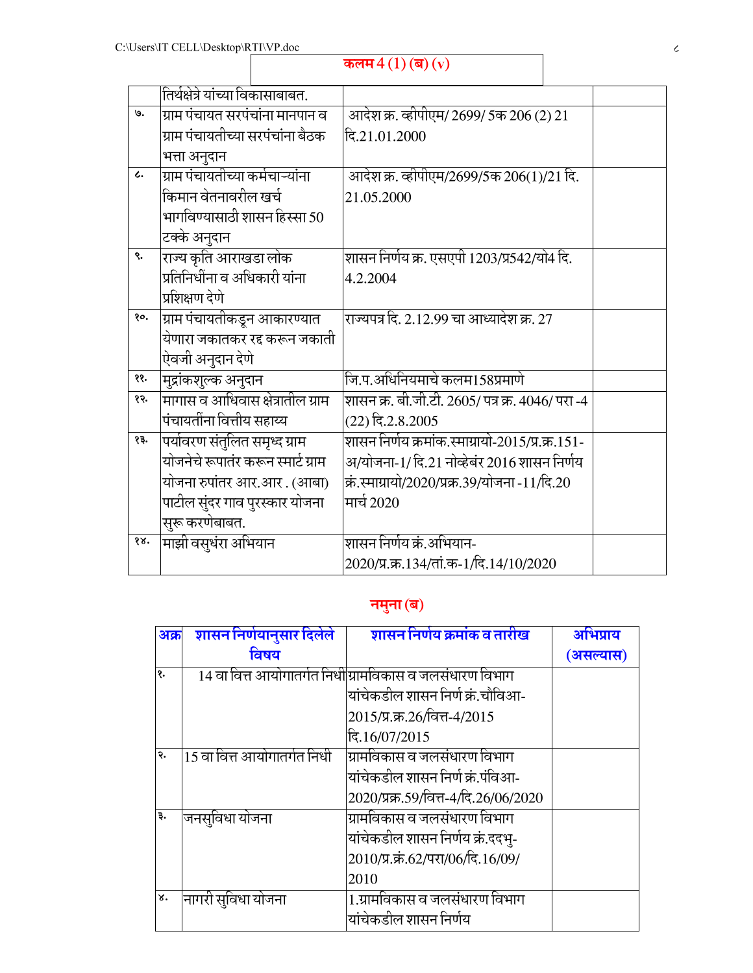## कलम $4(1)$  (ब)  $(v)$

|                 | तिर्थक्षेत्रे यांच्या विकासाबाबत.  |                                                  |  |
|-----------------|------------------------------------|--------------------------------------------------|--|
| ७.              | ग्राम पंचायत सरपंचांना मानपान व    | आदेश क्र. व्हीपीएम/ 2699/ 5क 206 (2) 21          |  |
|                 | ग्राम पंचायतीच्या सरपंचांना बैठक   | दि.21.01.2000                                    |  |
|                 | भत्ता अनुदान                       |                                                  |  |
| $\mathcal{L}$ . | ग्राम पंचायतीच्या कर्मचाऱ्यांना    | आदेश क्र. व्हीपीएम/2699/5क 206(1)/21 दि.         |  |
|                 | किमान वेतनावरील खर्च               | 21.05.2000                                       |  |
|                 | भागविण्यासाठी शासन हिस्सा 50       |                                                  |  |
|                 | टक्के अनुदान                       |                                                  |  |
| ९.              | राज्य कृति आराखडा लोक              | शासन निर्णय क्र. एसएपी 1203/प्र542/यो4 दि.       |  |
|                 | प्रतिनिधींना व अधिकारी यांना       | 4.2.2004                                         |  |
|                 | प्रशिक्षण देणे                     |                                                  |  |
| Qο.             | ग्राम पंचायतीकडून आकारण्यात        | राज्यपत्र दि. 2.12.99 चा आध्यादेश क्र. 27        |  |
|                 | येणारा जकातकर रद्द करून जकाती      |                                                  |  |
|                 | ऐवजी अनुदान देणे                   |                                                  |  |
| ११.             | मुद्रांकशुल्क अनुदान               | जि.प.अधिनियमाचे कलम158प्रमाणे                    |  |
| १२.             | मागास व आधिवास क्षेत्रातील ग्राम   | शासन क्र. बी.जी.टी. 2605/ पत्र क्र. 4046/ परा -4 |  |
|                 | पंचायतींना वित्तीय सहाय्य          | $(22)$ दि.2.8.2005                               |  |
| १३.             | पर्यावरण संतुलित समृध्द ग्राम      | शासन निर्णय क्रमांक.स्माग्रायो-2015/प्र.क्र.151- |  |
|                 | योजनेचे रूपातंर करून स्मार्ट ग्राम | अ/योजना-1/ दि.21 नोव्हेबंर 2016 शासन निर्णय      |  |
|                 | योजना रुपांतर आर.आर. (आबा)         | क्रं.स्माग्रायो/2020/प्रक्र.39/योजना -11/दि.20   |  |
|                 | पाटील सुंदर गाव पुरस्कार योजना     | मार्च 2020                                       |  |
|                 | सुरू करणेबाबत.                     |                                                  |  |
| १४.             | माझी वसुधंरा अभियान                | शासन निर्णय क्रं.अभियान-                         |  |
|                 |                                    | 2020/प्र.क्र.134/तां.क-1/दि.14/10/2020           |  |

#### नमुना (ब)

| अक्र | शासन निर्णयानुसार दिलेले    | शासन निर्णय क्रमांक व तारीख                             | अभिप्राय  |
|------|-----------------------------|---------------------------------------------------------|-----------|
|      | विषय                        |                                                         | (असल्यास) |
| १.   |                             | 14 वा वित्त आयोगातर्गत निधी ग्रामविकास व जलसंधारण विभाग |           |
|      |                             | यांचेकडील शासन निर्ण क्रं.चौविआ-                        |           |
|      |                             | 2015/प्र.क्र.26/वित्त-4/2015                            |           |
|      |                             | दि.16/07/2015                                           |           |
| २.   | 15 वा वित्त आयोगातर्गत निधी | ग्रामविकास व जलसंधारण विभाग                             |           |
|      |                             | यांचेकडील शासन निर्ण क्रं.पंविआ-                        |           |
|      |                             | 2020/प्रक्र.59/वित्त-4/दि.26/06/2020                    |           |
| ₹.   | जनसुविधा योजना              | ग्रामविकास व जलसंधारण विभाग                             |           |
|      |                             | यांचेकडील शासन निर्णय क्रं.ददभु-                        |           |
|      |                             | 2010/प्र.कं.62/परा/06/दि.16/09/                         |           |
|      |                             | 2010                                                    |           |
| ४.   | नागरी सुविधा योजना          | 1.ग्रामविकास व जलसंधारण विभाग                           |           |
|      |                             | यांचेकडील शासन निर्णय                                   |           |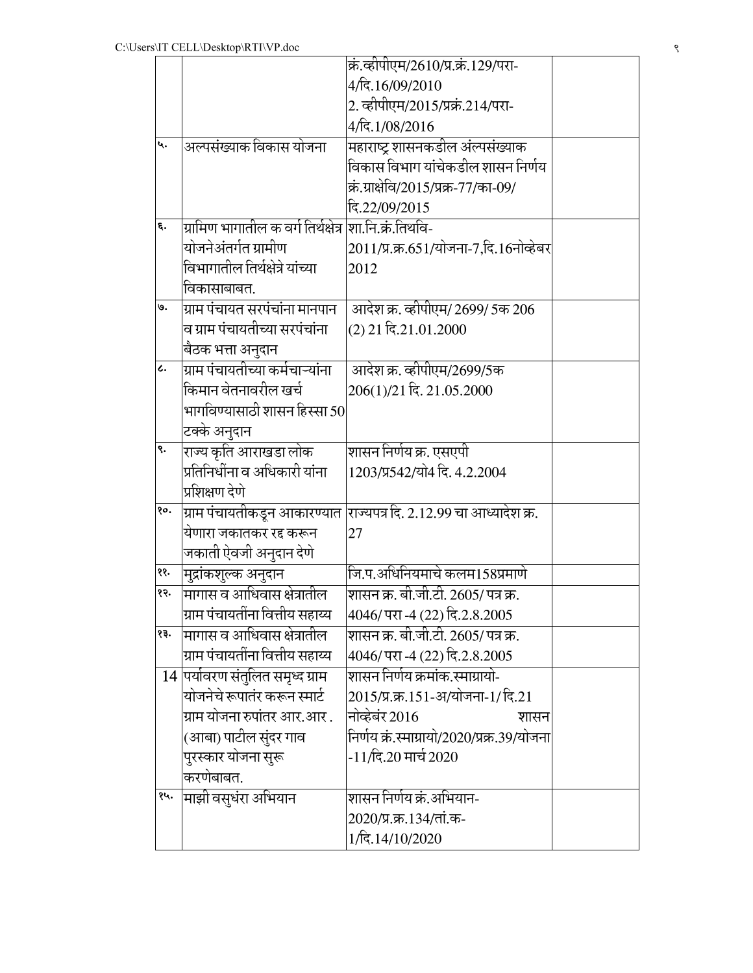|     |                                     | क्रं.व्हीपीएम/2610/प्र.क्रं.129/परा-                       |  |
|-----|-------------------------------------|------------------------------------------------------------|--|
|     |                                     | 4/दि.16/09/2010                                            |  |
|     |                                     | 2. व्हीपीएम/2015/प्रक्रं.214/परा-                          |  |
|     |                                     | 4/दि.1/08/2016                                             |  |
| ५.  | अल्पसंख्याक विकास योजना             | महाराष्ट्र शासनकडील अंल्पसंख्याक                           |  |
|     |                                     | विकास विभाग यांचेकडील शासन निर्णय                          |  |
|     |                                     | क्रं.ग्राक्षेवि/2015/प्रक्र-77/का-09/                      |  |
|     |                                     | दि.22/09/2015                                              |  |
| ξ.  | ग्रामिण भागातील क वर्ग तिर्थक्षेत्र | शा.नि.क्रं.तिथवि-                                          |  |
|     | योजनेअंतर्गत ग्रामीण                | 2011/प्र.क्र.651/योजना-7,दि.16नोव्हेबर                     |  |
|     | विभागातील तिर्थक्षेत्रे यांच्या     | 2012                                                       |  |
|     | विकासाबाबत.                         |                                                            |  |
| ७.  | ग्राम पंचायत सरपंचांना मानपान       | आदेश क्र. व्हीपीएम/ 2699/ 5क 206                           |  |
|     | व ग्राम पंचायतीच्या सरपंचांना       | (2) 21 दि.21.01.2000                                       |  |
|     | बैठक भत्ता अनुदान                   |                                                            |  |
| L.  | ग्राम पंचायतीच्या कर्मचाऱ्यांना     | आदेश क्र. व्हीपीएम/2699/5क                                 |  |
|     | किमान वेतनावरील खर्च                | 206(1)/21 दि. 21.05.2000                                   |  |
|     | भागविण्यासाठी शासन हिस्सा 50 $\mid$ |                                                            |  |
|     | टक्के अनुदान                        |                                                            |  |
| ९.  | राज्य कृति आराखडा लोक               | शासन निर्णय क्र. एसएपी                                     |  |
|     | प्रतिनिधींना व अधिकारी यांना        | 1203/प्र542/यो4 दि. 4.2.2004                               |  |
|     | प्रशिक्षण देणे                      |                                                            |  |
| १०. | ग्राम पंचायतीकडून आकारण्यात         | $\overline{\text{U}}$ ज्यपत्र दि. 2.12.99 चा आध्यादेश क्र. |  |
|     | येणारा जकातकर रद्द करून             | 27                                                         |  |
|     | जकाती ऐवजी अनुदान देणे              |                                                            |  |
| ११. | मुद्रांकशुल्क अनुदान                | जि.प.अधिनियमाचे कलम158प्रमाणे                              |  |
| १२. | मागास व आधिवास क्षेत्रातील          | <u>शासन</u> क्र. बी.जी.टी. 2605/ पत्र क्र.                 |  |
|     | ग्राम पंचायतींना वित्तीय सहाय्य     | 4046/ परा -4 (22) दि.2.8.2005                              |  |
| १३. | मागास व आधिवास क्षेत्रातील          | शासन क्र. बी.जी.टी. 2605/ पत्र क्र.                        |  |
|     | ग्राम पंचायतींना वित्तीय सहाय्य     | 4046/ परा -4 (22) दि.2.8.2005                              |  |
|     | 14 पर्यावरण संतुलित समृध्द ग्राम    | <u>शासन निर्णय क्रमांक.स्माग्रायो-</u>                     |  |
|     | योजनेचे रूपातंर करून स्मार्ट        | 2015/प्र.क्र.151-अ/योजना-1/ दि.21                          |  |
|     | ग्राम योजना रुपांतर आर.आर.          | नोव्हेबंर 2016<br>शासन                                     |  |
|     | (आबा) पाटील सुंदर गाव               | निर्णय क्रं.स्माग्रायो/2020/प्रक्र.39/योजना                |  |
|     | पुरस्कार योजना सुरू                 | -11/दि.20 मार्च 2020                                       |  |
|     | करणेबाबत.                           |                                                            |  |
| १५. | माझी वसुधंरा अभियान                 | शासन निर्णय क्रं.अभियान-                                   |  |
|     |                                     | 2020/प्र.क्र.134/तां.क-                                    |  |
|     |                                     | 1/दि.14/10/2020                                            |  |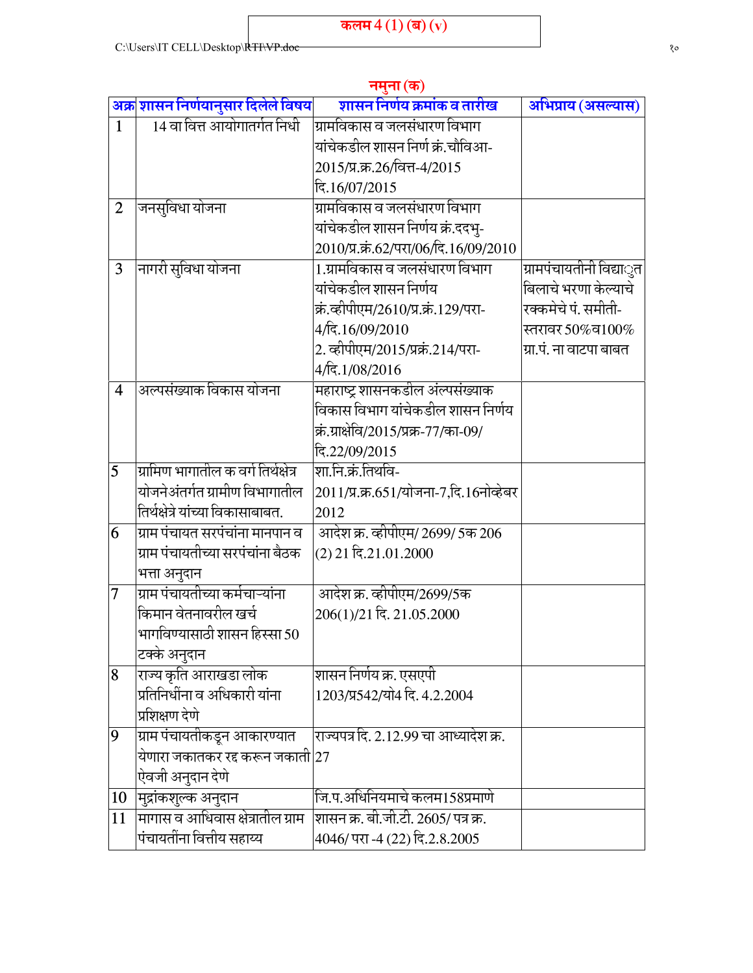|                |                                          | नमुना (क)                              |                         |
|----------------|------------------------------------------|----------------------------------------|-------------------------|
|                | अक्र शासन निर्णयानुसार दिलेले विषय       | शासन निर्णय क्रमांक व तारीख            | अभिप्राय (असल्यास)      |
| $\mathbf{1}$   | 14 वा वित्त आयोगातर्गत निधी              | ग्रामविकास व जलसंधारण विभाग            |                         |
|                |                                          | यांचेकडील शासन निर्ण क्रं.चौविआ-       |                         |
|                |                                          | 2015/प्र.क्र.26/वित्त-4/2015           |                         |
|                |                                          | दि.16/07/2015                          |                         |
| $\overline{2}$ | जनसुविधा योजना                           | ग्रामविकास व जलसंधारण विभाग            |                         |
|                |                                          | यांचेकडील शासन निर्णय क्रं.ददभु-       |                         |
|                |                                          | 2010/प्र.क्रं.62/परा/06/दि.16/09/2010  |                         |
| 3              | नागरी सुविधा योजना                       | 1.ग्रामविकास व जलसंधारण विभाग          | ग्रामपंचायतीनी विद्याुत |
|                |                                          | यांचेकडील शासन निर्णय                  | बिलाचे भरणा केल्याचे    |
|                |                                          | क्रं.व्हीपीएम/2610/प्र.क्रं.129/परा-   | रक्कमेचे पं. समीती-     |
|                |                                          | 4/दि.16/09/2010                        | स्तरावर 50%व $100\%$    |
|                |                                          | 2. व्हीपीएम/2015/प्रक्रं.214/परा-      | ग्रा.पं. ना वाटपा बाबत  |
|                |                                          | 4/दि.1/08/2016                         |                         |
| $\overline{4}$ | अल्पसंख्याक विकास योजना                  | महाराष्ट्र शासनकडील अंल्पसंख्याक       |                         |
|                |                                          | विकास विभाग यांचेकडील शासन निर्णय      |                         |
|                |                                          | क्रं.ग्राक्षेवि/2015/प्रक्र-77/का-09/  |                         |
|                |                                          | दि.22/09/2015                          |                         |
| 5              | ग्रामिण भागातील क वर्ग तिर्थक्षेत्र      | शा.नि.क्रं.तिथवि-                      |                         |
|                | योजनेअंतर्गत ग्रामीण विभागातील           | 2011/प्र.क्र.651/योजना-7,दि.16नोव्हेबर |                         |
|                | तिर्थक्षेत्रे यांच्या विकासाबाबत.        | 2012                                   |                         |
| 6              | ग्राम पंचायत सरपंचांना मानपान व          | आदेश क्र. व्हीपीएम/ 2699/ 5क 206       |                         |
|                | ग्राम पंचायतीच्या सरपंचांना बैठक         | (2) 21 दि.21.01.2000                   |                         |
|                | भत्ता अनुदान                             |                                        |                         |
| 7              | ग्राम पंचायतीच्या कर्मचाऱ्यांना          | आदेश क्र. व्हीपीएम/2699/5क             |                         |
|                | किमान वेतनावरील खर्च                     | 206(1)/21 दि. 21.05.2000               |                         |
|                | भागविण्यासाठी शासन हिस्सा 50             |                                        |                         |
|                | टक्के अनुदान                             |                                        |                         |
| $\overline{8}$ | राज्य कृति आराखडा लोक                    | शासन निर्णय क्र. एसएपी                 |                         |
|                | प्रतिनिधींना व अधिकारी यांना             | 1203/प्र542/यो4 दि. 4.2.2004           |                         |
|                | प्रशिक्षण देणे                           |                                        |                         |
| $\overline{9}$ | ग्राम पंचायतीकडून आकारण्यात              | राज्यपत्र दि. 2.12.99 चा आध्यादेश क्र. |                         |
|                | येणारा जकातकर रद्द करून जकाती $\vert$ 27 |                                        |                         |
|                | ऐवजी अनुदान देणे                         |                                        |                         |
| 10             | मुद्रांकशुल्क अनुदान                     | जि.प.अधिनियमाचे कलम158प्रमाणे          |                         |
| 11             | मागास व आधिवास क्षेत्रातील ग्राम         | शासन क्र. बी.जी.टी. 2605/ पत्र क्र.    |                         |
|                | पंचायतींना वित्तीय सहाय्य                | 4046/ परा -4 (22) दि.2.8.2005          |                         |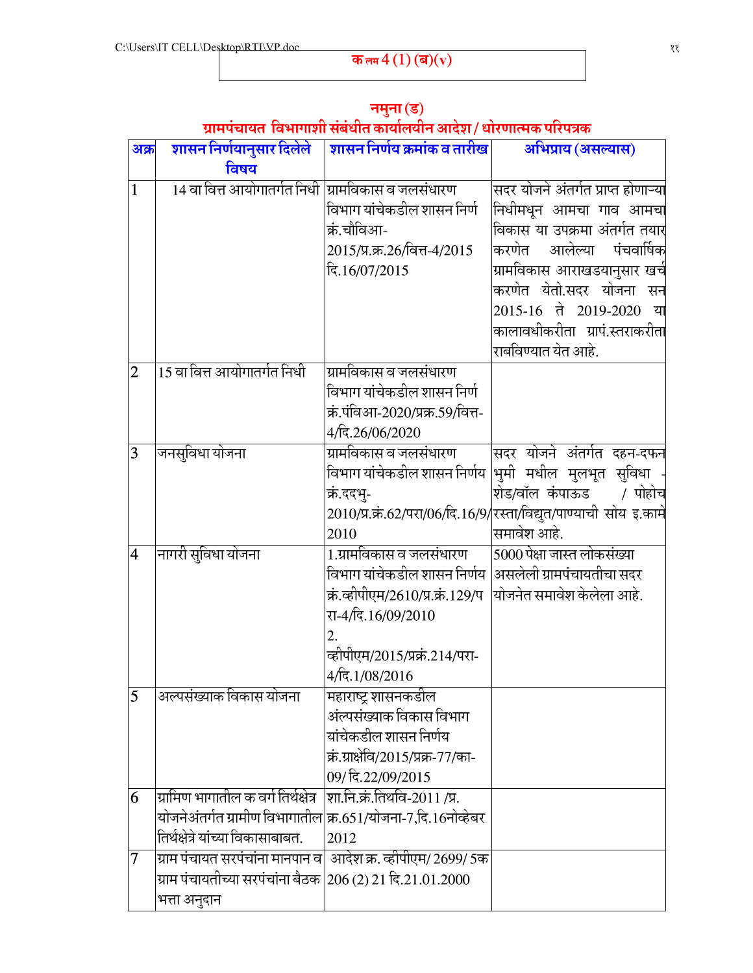| अक्र           | शासन निर्णयानुसार दिलेले                                                          | शासन निर्णय क्रमांक व तारीख                                  | अभिप्राय (असल्यास)                                                |
|----------------|-----------------------------------------------------------------------------------|--------------------------------------------------------------|-------------------------------------------------------------------|
|                | विषय                                                                              |                                                              |                                                                   |
| $\mathbf{1}$   | 14 वा वित्त आयोगातर्गत निधी  ग्रामविकास व जलसंधारण                                |                                                              | सदर योजने अंतर्गत प्राप्त होणाऱ्या                                |
|                |                                                                                   | विभाग यांचेकडील शासन निर्ण                                   | निधीमधून आमचा गाव आमचा                                            |
|                |                                                                                   | क्रं.चौविआ-                                                  | विकास या उपक्रमा अंतर्गत तयार                                     |
|                |                                                                                   | 2015/प्र.क्र.26/वित्त-4/2015                                 | करणेत आलेल्या पंचवार्षिक                                          |
|                |                                                                                   | दि.16/07/2015                                                | ग्रामविकास आराखडयानुसार खर्चे                                     |
|                |                                                                                   |                                                              | करणेत येतो.सदर योजना सन                                           |
|                |                                                                                   |                                                              | 2015-16 ते 2019-2020<br>्या                                       |
|                |                                                                                   |                                                              | कालावधीकरीता ग्रापं.स्तराकरीता                                    |
|                |                                                                                   |                                                              | राबविण्यात येत आहे.                                               |
| $\overline{2}$ | 15 वा वित्त आयोगातर्गत निधी                                                       | ग्रामविकास व जलसंधारण                                        |                                                                   |
|                |                                                                                   | विभाग यांचेकडील शासन निर्ण                                   |                                                                   |
|                |                                                                                   | क्रं.पंविआ-2020/प्रक्र.59/वित्त-                             |                                                                   |
|                |                                                                                   | 4/दि.26/06/2020                                              |                                                                   |
| 3              | जनसुविधा योजना                                                                    | ग्रामविकास व जलसंधारण                                        | सदर योजने अंतर्गत दहन-दफन                                         |
|                |                                                                                   | विभाग यांचेकडील शासन निर्णय                                  | <mark>भमी मधील मुलभूत सुविधा</mark>                               |
|                |                                                                                   | क्रं.ददभ्-                                                   | शेड/वॉल कंपाऊड<br>/ पोहोच                                         |
|                |                                                                                   |                                                              | 2010/प्र.क्रं.62/परा/06/दि.16/9/रस्ता/विद्युत/पाण्याची सोय इ.कामे |
|                |                                                                                   | 2010                                                         | समावेश आहे.                                                       |
| $\overline{4}$ | नागरी सुविधा योजना                                                                | 1.ग्रामविकास व जलसंधारण                                      | 5000 पेक्षा जास्त लोकसंख्या                                       |
|                |                                                                                   | विभाग यांचेकडील शासन निर्णय  असलेली ग्रामपंचायतीचा सदर       |                                                                   |
|                |                                                                                   | क्रं.व्हीपीएम/2610/प्र.क्रं.129/प  योजनेत समावेश केलेला आहे. |                                                                   |
|                |                                                                                   | रा-4/दि.16/09/2010                                           |                                                                   |
|                |                                                                                   | 2.                                                           |                                                                   |
|                |                                                                                   | व्हीपीएम/2015/प्रक्रं.214/परा-                               |                                                                   |
|                |                                                                                   | 4/दि.1/08/2016                                               |                                                                   |
| $\overline{5}$ | अल्पसंख्याक विकास योजना                                                           | महाराष्ट्र शासनकडील                                          |                                                                   |
|                |                                                                                   | अंल्पसंख्याक विकास विभाग                                     |                                                                   |
|                |                                                                                   | यांचेकडील शासन निर्णय                                        |                                                                   |
|                |                                                                                   | क्रं.ग्राक्षेवि/2015/प्रक्र-77/का-                           |                                                                   |
|                |                                                                                   | 09/ दि.22/09/2015                                            |                                                                   |
| 6              | ग्रामिण भागातील क वर्ग तिर्थक्षेत्र                                               | शा.नि.क्रं.तिथवि-2011/प्र.                                   |                                                                   |
|                | योजनेअंतर्गत ग्रामीण विभागातील क्र.651/योजना-7,दि.16नोव्हेबर                      |                                                              |                                                                   |
|                | तिर्थक्षेत्रे यांच्या विकासाबाबत.                                                 | 2012                                                         |                                                                   |
| 7              | ग्राम पंचायत सरपंचांना मानपान व  आदेश क्र. व्हीपीएम/ 2699/ 5क                     |                                                              |                                                                   |
|                | ग्राम पंचायतीच्या सरपंचांना बैठक $\left 206\left(2\right)21\right.$ दि.21.01.2000 |                                                              |                                                                   |
|                | भत्ता अनुदान                                                                      |                                                              |                                                                   |

#### नमुना (ड) ग्रामपंचायत विभागाशी संबंधीत कार्यालयीन आदेश / धोरणात्मक परिपत्रक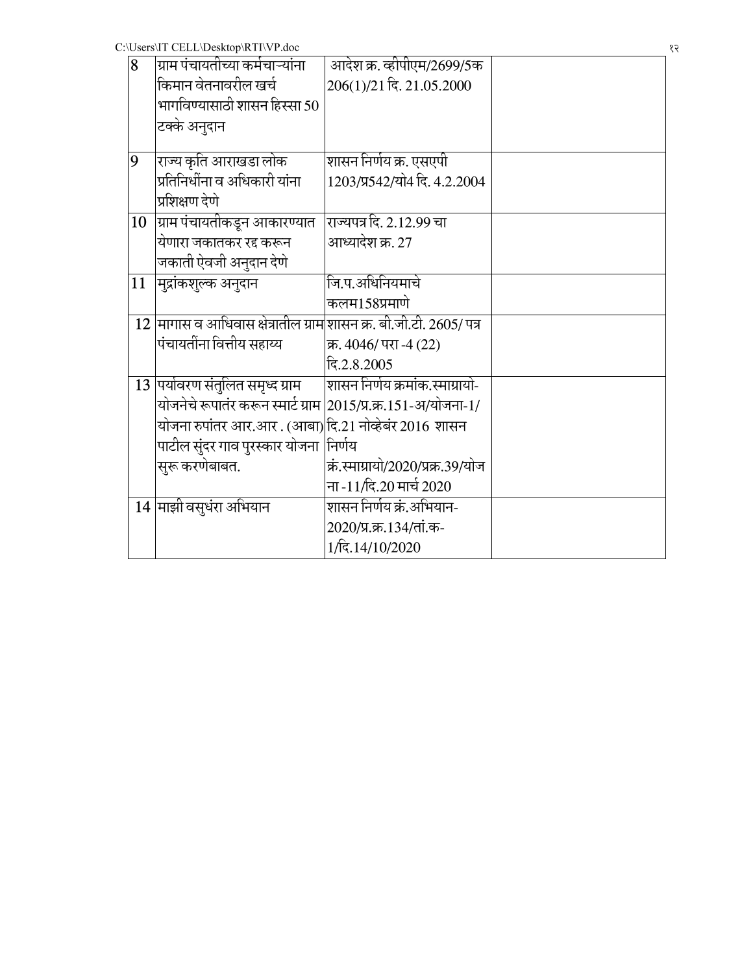| 8  | ग्राम पंचायतीच्या कर्मचाऱ्यांना                                      | आदेश क्र. व्हीपीएम/2699/5क         |  |
|----|----------------------------------------------------------------------|------------------------------------|--|
|    | किमान वेतनावरील खर्च                                                 | 206(1)/21 दि. 21.05.2000           |  |
|    | भागविण्यासाठी शासन हिस्सा 50                                         |                                    |  |
|    | टक्के अनुदान                                                         |                                    |  |
|    |                                                                      |                                    |  |
| 9  | राज्य कृति आराखडा लोक                                                | शासन निर्णय क्र. एसएपी             |  |
|    | प्रतिनिधींना व अधिकारी यांना                                         | 1203/प्र542/यो4 दि. 4.2.2004       |  |
|    | प्रशिक्षण देणे                                                       |                                    |  |
| 10 | ग्राम पंचायतीकडून आकारण्यात                                          | राज्यपत्र दि. 2.12.99 चा           |  |
|    | येणारा जकातकर रद्द करून                                              | आध्यादेश क्र. 27                   |  |
|    | जकाती ऐवजी अनुदान देणे                                               |                                    |  |
| 11 | मुद्रांकशुल्क अनुदान                                                 | जि.प.अधिनियमाचे                    |  |
|    |                                                                      | कलम158प्रमाणे                      |  |
|    | $12$ मागास व आधिवास क्षेत्रातील ग्राम]शासन क्र. बी.जी.टी. 2605/ पत्र |                                    |  |
|    | पंचायतींना वित्तीय सहाय्य                                            | क्र. 4046/ परा -4 (22)             |  |
|    |                                                                      | दि.2.8.2005                        |  |
|    | 13 पर्यावरण संतुलित समृध्द ग्राम                                     | शासन निर्णय क्रमांक.स्माग्रायो-    |  |
|    | योजनेचे रूपातंर करून स्मार्ट ग्राम                                   | 2015/प्र.क्र.151-अ/योजना-1/        |  |
|    | योजना रुपांतर आर.आर . (आबा)दि.21 नोव्हेबंर 2016 शासन                 |                                    |  |
|    | पाटील सुंदर गाव पुरस्कार योजना                                       | निर्णय                             |  |
|    | सुरू करणेबाबत.                                                       | क्रं.स्माग्रायो/2020/प्रक्र.39/योज |  |
|    |                                                                      | ना -11/दि.20 मार्च 2020            |  |
|    | 14 माझी वसुधंरा अभियान                                               | शासन निर्णय क्रं.अभियान-           |  |
|    |                                                                      | 2020/प्र.क्र.134/तां.क-            |  |
|    |                                                                      | 1/दि.14/10/2020                    |  |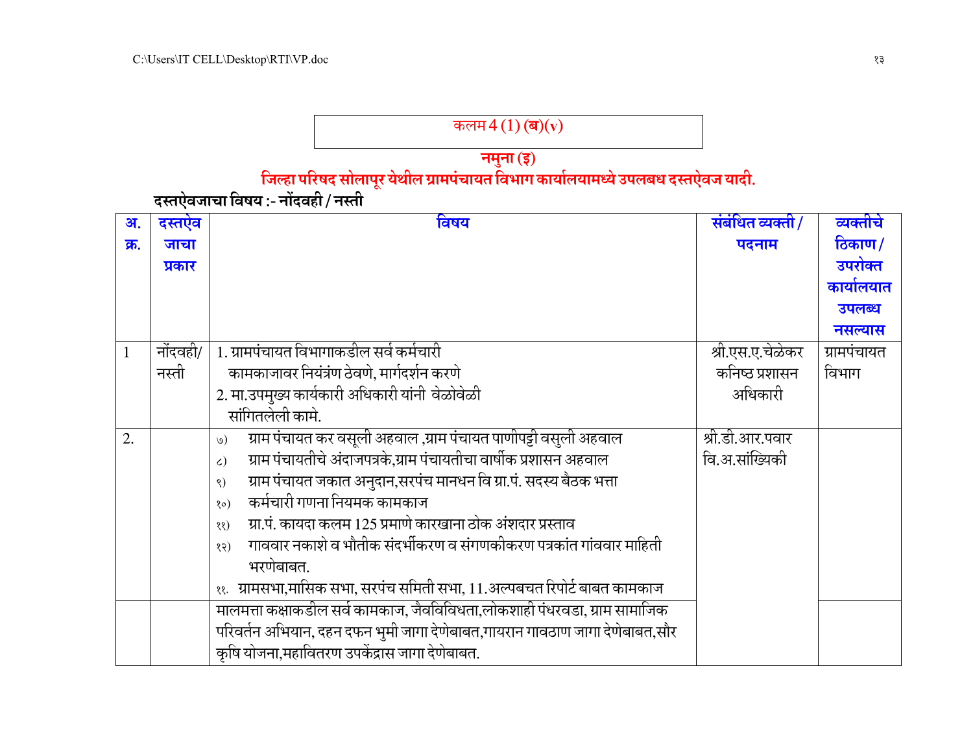# कलम $4(1)$  (ब) $(v)$

# 

| अ.           | दस्तऐव   | विषय                                                                               | संबंधित व्यक्ती/ | व्यक्तीचे     |
|--------------|----------|------------------------------------------------------------------------------------|------------------|---------------|
| क्र.         | जाचा     |                                                                                    | पदनाम            | <u>ठिकाण/</u> |
|              | प्रकार   |                                                                                    |                  | उपरोक्त       |
|              |          |                                                                                    |                  | कार्यालयात    |
|              |          |                                                                                    |                  | उपलब्ध        |
|              |          |                                                                                    |                  | नसल्यास       |
| $\mathbf{1}$ | नोंदवही/ | 1. ग्रामपंचायत विभागाकडील सर्व कर्मचारी                                            | श्री.एस.ए.चेळेकर | ग्रामपंचायत   |
|              | नस्ती    | कामकाजावर नियंत्रंण ठेवणे, मार्गदर्शन करणे                                         | कनिष्ठ प्रशासन   | विभाग         |
|              |          | 2. मा.उपमुख्य कार्यकारी अधिकारी यांनी वेळोवेळी                                     | अधिकारी          |               |
|              |          | सांगितलेली कामे.                                                                   |                  |               |
| 2.           |          | ग्राम पंचायत कर वसूली अहवाल ,ग्राम पंचायत पाणीपट्टी वसुली अहवाल<br>$\omega$        | श्री.डी.आर.पवार  |               |
|              |          | ग्राम पंचायतीचे अंदाजपत्रके,ग्राम पंचायतीचा वार्षीक प्रशासन अहवाल<br>$\zeta$       | वि.अ.सांख्यिकी   |               |
|              |          | ग्राम पंचायत जकात अनुदान,सरपंच मानधन वि ग्रा.पं. सदस्य बैठक भत्ता<br>$\mathcal{S}$ |                  |               |
|              |          | कर्मचारी गणना नियमक कामकाज<br>$\circ$ )                                            |                  |               |
|              |          | ग्रा.पं. कायदा कलम 125 प्रमाणे कारखाना ठोक अंशदार प्रस्ताव<br>(35)                 |                  |               |
|              |          | गाववार नकाशे व भौतीक संदर्भीकरण व संगणकीकरण पत्रकांत गांववार माहिती<br>(58)        |                  |               |
|              |          | भरणेबाबत.                                                                          |                  |               |
|              |          | ११.   ग्रामसभा,मासिक सभा, सरपंच समिती सभा, 11.अल्पबचत रिपोर्ट बाबत कामकाज          |                  |               |
|              |          | मालमत्ता कक्षाकडील सर्व कामकाज, जैवविविधता,लोकशाही पंधरवडा, ग्राम सामाजिक          |                  |               |
|              |          | परिवर्तन अभियान, दहन दफन भुमी जागा देणेबाबत,गायरान गावठाण जागा देणेबाबत,सौर        |                  |               |
|              |          | कृषि योजना,महावितरण उपकेंद्रास जागा देणेबाबत.                                      |                  |               |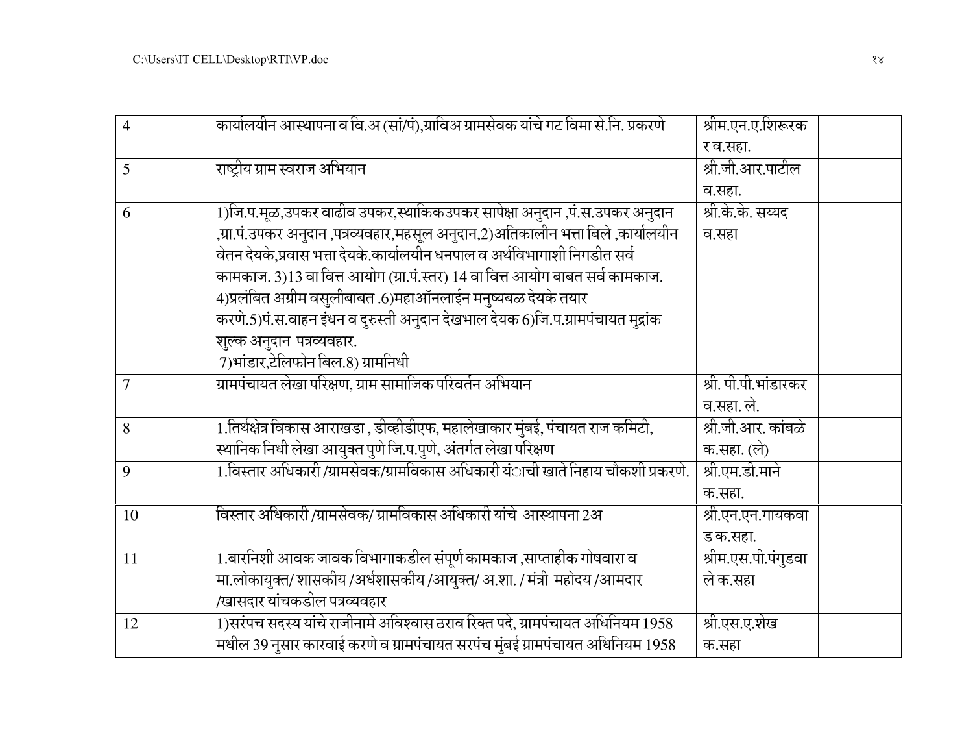| $\overline{4}$ | कार्यालयीन आस्थापना व वि.अ (सां/पं),ग्राविअ ग्रामसेवक यांचे गट विमा से.नि. प्रकरणे | श्रीम.एन.ए.शिरूरक    |
|----------------|------------------------------------------------------------------------------------|----------------------|
|                |                                                                                    | र व.सहा.             |
| 5              | राष्ट्रीय ग्राम स्वराज अभियान                                                      | श्री.जी.आर.पाटील     |
|                |                                                                                    | व.सहा.               |
| 6              | 1)जि.प.मूळ,उपकर वाढीव उपकर,स्थाकिकउपकर सापेक्षा अनुदान ,पं.स.उपकर अनुदान           | श्री.के.के. सय्यद    |
|                | ,ग्रा.पं.उपकर अनुदान ,पत्रव्यवहार,महसूल अनुदान,2)अतिकालीन भत्ता बिले ,कार्यालयीन   | व.सहा                |
|                | वेतन देयके,प्रवास भत्ता देयके.कार्यालयीन धनपाल व अर्थविभागाशी निगडीत सर्व          |                      |
|                | कामकाज. 3)13 वा वित्त आयोग (ग्रा.पं.स्तर) 14 वा वित्त आयोग बाबत सर्व कामकाज.       |                      |
|                | 4)प्रलंबित अग्रीम वसुलीबाबत .6)महाऑनलाईन मनुष्यबळ देयके तयार                       |                      |
|                | करणे.5)पं.स.वाहन इंधन व दुरुस्ती अनुदान देखभाल देयक 6)जि.प.ग्रामपंचायत मुद्रांक    |                      |
|                | शुल्क अनुदान पत्रव्यवहार.                                                          |                      |
|                | 7)भांडार,टेलिफोन बिल.8) ग्रामनिधी                                                  |                      |
| $\overline{7}$ | ग्रामपंचायत लेखा परिक्षण, ग्राम सामाजिक परिवर्तन अभियान                            | श्री. पी.पी.भांडारकर |
|                |                                                                                    | व.सहा. ले.           |
| 8              | 1.तिर्थक्षेत्र विकास आराखडा , डीव्हीडीएफ, महालेखाकार मुंबई, पंचायत राज कमिटी,      | श्री.जी.आर. कांबळे   |
|                | स्थानिक निधी लेखा आयुक्त पुणे जि.प.पुणे, अंतर्गत लेखा परिक्षण                      | क.सहा. (ले)          |
| 9              | 1.विस्तार अधिकारी/ग्रामसेवक/ग्रामविकास अधिकारी यंाची खाते निहाय चौकशी प्रकरणे.     | श्री.एम.डी.माने      |
|                |                                                                                    | क.सहा.               |
| 10             | विस्तार अधिकारी/ग्रामसेवक/ ग्रामविकास अधिकारी यांचे  आस्थापना 2अ                   | श्री.एन.एन.गायकवा    |
|                |                                                                                    | ड क.सहा.             |
| 11             | 1.बारनिशी आवक जावक विभागाकडील संपूर्ण कामकाज ,साप्ताहीक गोषवारा व                  | श्रीम.एस.पी.पंगुडवा  |
|                | मा.लोकायुक्त/ शासकीय/अर्धशासकीय/आयुक्त/ अ.शा. / मंत्री महोदय/आमदार                 | ले क.सहा             |
|                | /खासदार यांचकडील पत्रव्यवहार                                                       |                      |
| 12             | 1)सरंपच सदस्य यांचे राजीनामे अविश्वास ठराव रिक्त पदे, ग्रामपंचायत अधिनियम 1958     | श्री.एस.ए.शेख        |
|                | मधील 39 नुसार कारवाई करणे व ग्रामपंचायत सरपंच मुंबई ग्रामपंचायत अधिनियम 1958       | क.सहा                |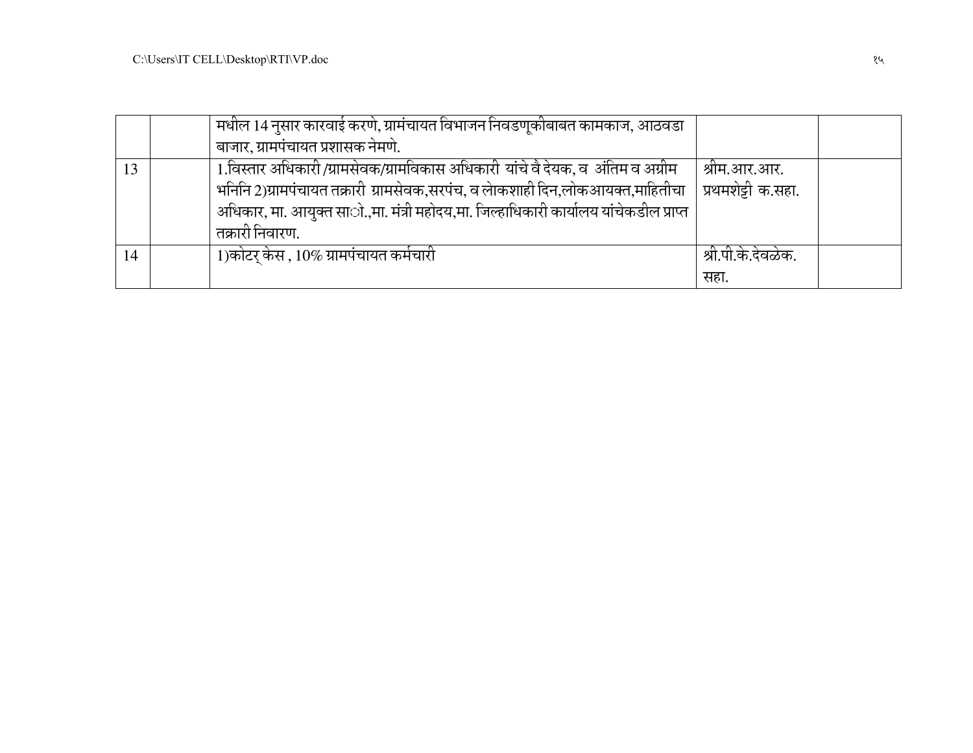|    | मधील 14 नुसार कारवाई करणे, ग्रामंचायत विभाजन निवडणूकीबाबत कामकाज, आठवडा               |                    |  |
|----|---------------------------------------------------------------------------------------|--------------------|--|
|    | बाजार, ग्रामपंचायत प्रशासक नेमणे.                                                     |                    |  |
| 13 | 1.विस्तार अधिकारी/ग्रामसेवक/ग्रामविकास अधिकारी यांचे वै देयक, व  अंतिम व अग्रीम       | श्रीम.आर.आर.       |  |
|    | भनिनि 2)ग्रामपंचायत तक्रारी ग्रामसेवक,सरपंच, व लेाकशाही दिन,लोकआयक्त,माहितीचा         | प्रथमशेट्टी क.सहा. |  |
|    | अधिकार, मा. आयुक्त सााे.,मा. मंत्री महोदय,मा. जिल्हाधिकारी कार्यालय यांचेकडील प्राप्त |                    |  |
|    | तक्रारी निवारण.                                                                       |                    |  |
|    | 1)कोटर् केस , 10% ग्रामपंचायत कर्मचारी                                                | श्री.पी.के.देवळेक. |  |
|    |                                                                                       | सहा.               |  |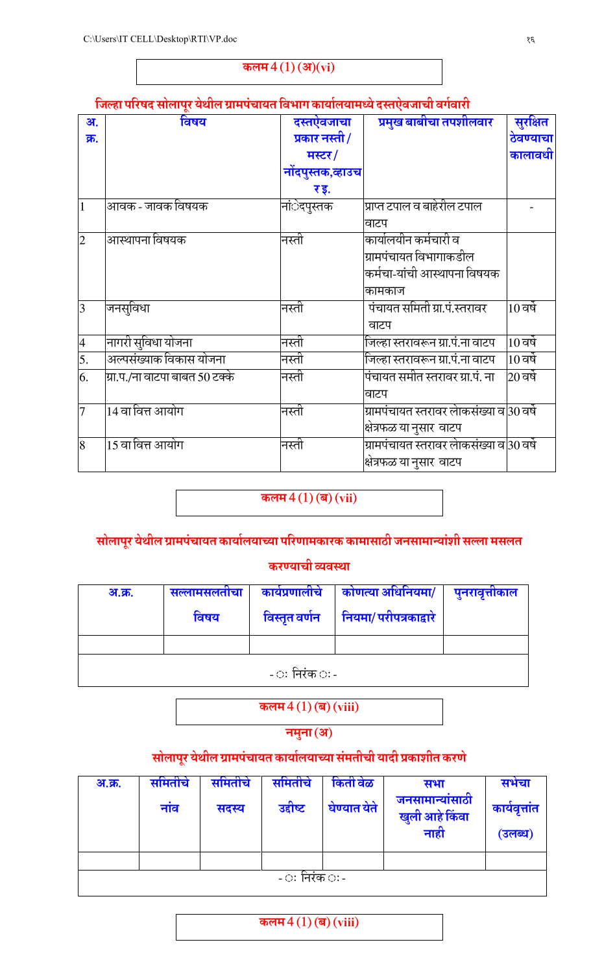## कलम $4(1)$  (अ)(vi)

## जिल्हा परिषद सोलापूर येथील ग्रामपंचायत विभाग कार्यालयामध्ये दस्तऐवजाची वर्गवारी

| अ.             | विषय                           | दस्तऐवजाचा        | प्रमुख बाबीचा तपशीलवार                    | सुरक्षित                |
|----------------|--------------------------------|-------------------|-------------------------------------------|-------------------------|
| क्र.           |                                | प्रकार नस्ती/     |                                           | ठेवण्याचा               |
|                |                                | मस्टर/            |                                           | कालावधी                 |
|                |                                | नोंदपुस्तक,व्हाउच |                                           |                         |
|                |                                | र इ.              |                                           |                         |
| 1              | आवक - जावक विषयक               | नांेदपुस्तक       | प्राप्त टपाल व बाहेरील टपाल               |                         |
|                |                                |                   | वाटप                                      |                         |
| $\overline{2}$ | आस्थापना विषयक                 | नस्ती             | कार्यालयीन कर्मचारी व                     |                         |
|                |                                |                   | ग्रामपंचायत विभागाकडील                    |                         |
|                |                                |                   | कर्मचा-यांची आस्थापना विषयक               |                         |
|                |                                |                   | कामकाज                                    |                         |
| $\overline{3}$ | जनसूविधा                       | नस्ती             | पंचायत समिती ग्रा.पं.स्तरावर              | $10$ वर्षे              |
|                |                                |                   | वाटप                                      |                         |
| $\overline{4}$ | नागरी सुविधा योजना             | नस्ती             | जिल्हा स्तरावरून ग्रा.पं.ना वाटप          | $10$ वर्षे              |
| 5.             | अल्पसंख्याक विकास योजना        | नस्ती             | जिल्हा स्तरावरून ग्रा.पं.ना वाटप          | $10$ वर्षे              |
| 6.             | ग्रा.प./ना वाटपा बाबत 50 टक्के | नस्ती             | पंचायत समीत स्तरावर ग्रा.पं. ना           | $\left 20\right.$ वर्षे |
|                |                                |                   | वाटप                                      |                         |
| $\overline{7}$ | 14 वा वित्त आयोग               | नस्ती             | ग्रामपंचायत स्तरावर लोकसंख्या व 30 वर्षे  |                         |
|                |                                |                   | क्षेत्रफळ या नुसार वाटप                   |                         |
| $\overline{8}$ | $\overline{15}$ वा वित्त आयोग  | नस्ती             | ग्रामपंचायत स्तरावर लेाकसंख्या व 30 वर्षे |                         |
|                |                                |                   | क्षेत्रफळ या नुसार वाटप                   |                         |

## कलम $4(1)$  (ब) (vii)

## सोलापूर येथील ग्रामपचायत कार्यालयाच्या परिणामकारक कामासाठी जनसामान्याशी सल्ला मसलत

## करण्याची व्यवस्था

| <u>अ.क्र.</u> | सल्लामसलताचा | कार्यप्रणालीचे | कोणत्या अधिनियमा/                      | पुनरावृत्तविज्ञाल |
|---------------|--------------|----------------|----------------------------------------|-------------------|
|               | विषय         |                | विस्तृत वर्णन   नियमा/ परीपत्रकाद्वारे |                   |
|               |              |                |                                        |                   |
|               |              | - ः निरंक ः -  |                                        |                   |

कलम $4(1)$  (ब) (viii)

नमुना (अ)

## सोलापूर येथील ग्रामपचायत कार्यालयाच्या समतीची यादी प्रकाशीत करणे

| <u>अ.क्र.</u> | समितीचे<br>नांव | समितीचे<br>सदस्य | समितीचे<br>उद्दीष्ट | किती वेळ<br>घेण्यात येते | सभा<br>जनसामान्यांसाठी<br>खुली आहे किंवा<br>नाही | सभचा<br>कार्यवृत्तांत<br>(उलब्ध) |
|---------------|-----------------|------------------|---------------------|--------------------------|--------------------------------------------------|----------------------------------|
|               |                 |                  | - ः निरंक ः -       |                          |                                                  |                                  |

## कलम $4(1)$  (ब) (viii)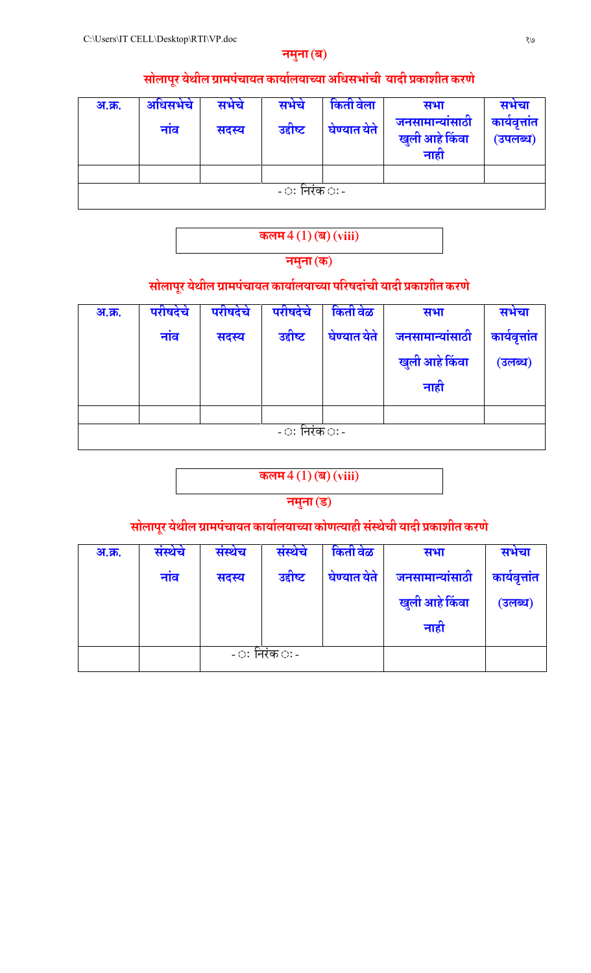## नमुना (ब)

## सोलापूर येथील ग्रामपंचायत कार्यालयाच्या अधिसभांची यादी प्रकाशीत करणे

| <u>अ.क्र.</u> | अधिसभेचे<br>नांव | सभेचे<br>सदस्य | सभेचे<br>उद्दीष्ट | किती वेला<br>घेण्यात येते | सभा<br>जनसामान्यांसाठी<br>खुली आहे किंवा<br>नाही | सभचा<br>कार्यवृत्तांत<br>(उपलब्ध) |
|---------------|------------------|----------------|-------------------|---------------------------|--------------------------------------------------|-----------------------------------|
|               |                  |                |                   |                           |                                                  |                                   |
|               |                  |                | - ः निरंक ः -     |                           |                                                  |                                   |

# कलम $4(1)$  (ब) (viii)

## नमुना (क)

## सोलापूर येथील ग्रामपचायत कार्यालयाच्या परिषदाची यादी प्रकाशीत करणे

| <u>अ.क्र.</u>        | परीषदेचे | परीषदेचे | परीषदेचे | किती वेळ     | सभा             | सभेचा         |  |  |  |  |  |
|----------------------|----------|----------|----------|--------------|-----------------|---------------|--|--|--|--|--|
|                      | नांव     | सदस्य    | उद्दीष्ट | घेण्यात येते | जनसामान्यांसाठी | कार्यवृत्तांत |  |  |  |  |  |
|                      |          |          |          |              | खुली आहे किंवा  | (उलब्ध)       |  |  |  |  |  |
|                      |          |          |          |              | नाही            |               |  |  |  |  |  |
|                      |          |          |          |              |                 |               |  |  |  |  |  |
| - ः निरंक <i>ः</i> - |          |          |          |              |                 |               |  |  |  |  |  |

## कलम $4(1)$  (ब) (viii)

## नमुना (ड)

## सोलापूर येथील ग्रामपचायत कार्यालयाच्या कोणत्याही सस्थेची यादी प्रकाशीत करणे

| <u>अ.क्र.</u> | संस्थेचे | संस्थेच | संस्थेचे      | किती वेळ     | सभा             | सभेचा         |
|---------------|----------|---------|---------------|--------------|-----------------|---------------|
|               | नाव      | सदस्य   | उद्दीष्ट      | घेण्यात येते | जनसामान्यांसाठी | कार्यवृत्तांत |
|               |          |         |               |              | खुली आहे किंवा  | (उलब्ध)       |
|               |          |         |               |              | नाही            |               |
|               |          |         | - ः निरंक ः - |              |                 |               |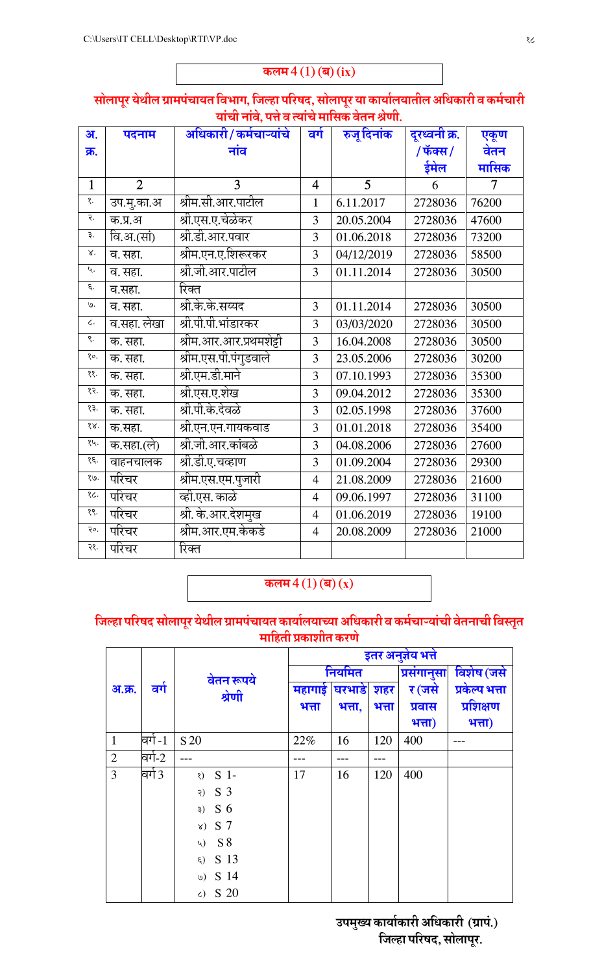कलम $4(1)$  (ब)  $(ix)$ 

## सोलापूर येथील ग्रामपचायत विभाग, जिल्हा परिषद, सोलापूर या कार्यालयातील अधिकारी व कर्मचारी याची नावे, पत्ते व त्याचे मासिक वेतन श्रेणी.

| अ.                          | पदनाम          | अधिकारी/कर्मचाऱ्यांचे   | वर्ग           | रुजू दिनांक    | दूरध्वनी क्र. | एकूण           |
|-----------------------------|----------------|-------------------------|----------------|----------------|---------------|----------------|
| क्र.                        |                | नांव                    |                |                | /फॅक्स/       | वेतन           |
|                             |                |                         |                |                | ईमेल          | मासिक          |
| $\mathbf{1}$                | $\overline{2}$ | 3                       | $\overline{4}$ | $\overline{5}$ | 6             | $\overline{7}$ |
| १.                          | उप.मु.का.अ     | श्रीम.सी.आर.पाटील       | $\mathbf{1}$   | 6.11.2017      | 2728036       | 76200          |
| २.                          | क.प्र.अ        | श्री.एस.ए.चेळेकर        | 3              | 20.05.2004     | 2728036       | 47600          |
| રૂ.                         | वि.अ.(सां)     | श्री.डी.आर.पवार         | $\overline{3}$ | 01.06.2018     | 2728036       | 73200          |
| $\mathbf{x}$                | व. सहा.        | श्रीम.एन.ए.शिरूरकर      | $\overline{3}$ | 04/12/2019     | 2728036       | 58500          |
| Ц.                          | व. सहा.        | श्री.जी.आर.पाटील        | $\overline{3}$ | 01.11.2014     | 2728036       | 30500          |
| ξ.                          | व.सहा.         | रिक्त                   |                |                |               |                |
| ७.                          | व. सहा.        | श्री.के.के.सय्यद        | $\overline{3}$ | 01.11.2014     | 2728036       | 30500          |
| $\mathcal{L}$ .             | व.सहा. लेखा    | श्री.पी.पी.भांडारकर     | 3              | 03/03/2020     | 2728036       | 30500          |
| ९.                          | क. सहा.        | श्रीम.आर.आर.प्रथमशेट्टी | 3              | 16.04.2008     | 2728036       | 30500          |
| १०.                         | क. सहा.        | श्रीम.एस.पी.पंगुडवाले   | 3              | 23.05.2006     | 2728036       | 30200          |
| $\frac{8}{3}$               | क. सहा.        | श्री.एम.डी.माने         | 3              | 07.10.1993     | 2728036       | 35300          |
| १२.                         | क. सहा.        | श्री.एस.ए.शेख           | 3              | 09.04.2012     | 2728036       | 35300          |
| १३.                         | क. सहा.        | श्री.पी.के.देवळे        | 3              | 02.05.1998     | 2728036       | 37600          |
| 88.                         | क.सहा.         | श्री.एन.एन.गायकवाड      | 3              | 01.01.2018     | 2728036       | 35400          |
| १५.                         | क.सहा.(ले)     | श्री.जी.आर.कांबळे       | 3              | 04.08.2006     | 2728036       | 27600          |
| $\xi$ .                     | वाहनचालक       | श्री.डी.ए.चव्हाण        | 3              | 01.09.2004     | 2728036       | 29300          |
| .99                         | परिचर          | श्रीम.एस.एम.पुजारी      | $\overline{4}$ | 21.08.2009     | 2728036       | 21600          |
| १८.                         | परिचर          | व्ही.एस. काळे           | $\overline{4}$ | 09.06.1997     | 2728036       | 31100          |
| $\mathcal{S}$               | परिचर          | श्री. के.आर.देशमुख      | $\overline{4}$ | 01.06.2019     | 2728036       | 19100          |
| $\overline{\mathfrak{d}}$ . | परिचर          | श्रीम.आर.एम.केकडे       | $\overline{4}$ | 20.08.2009     | 2728036       | 21000          |
| २१.                         | परिचर          | रिक्त                   |                |                |               |                |

कलम $4(1)$  (ब)  $(x)$ 

## जिल्हा परिषद सोलापूर येथील ग्रामपचायत कार्यालयाच्या अधिकारी व कर्मचाऱ्याची वेतनाची विस्तृत माहिती प्रकाशीत करणे

|                |           |                      |                |        |       | इतर अनुज्ञेय भत्ते |                |
|----------------|-----------|----------------------|----------------|--------|-------|--------------------|----------------|
|                |           | वेतन रूपये           | नियमित         |        |       | प्रसंगानुसा        | विशेष (जसे     |
| अ.क्र.         | वर्ग      | श्रेणी               | महागाई घरभाड़े |        | शहर   | र (जसे             | प्रकेल्प भत्ता |
|                |           |                      | भत्ता          | भत्ता, | भत्ता | प्रवास             | प्रशिक्षण      |
|                |           |                      |                |        |       | भत्ता)             | भत्ता)         |
| $\mathbf{1}$   | वर्ग -1   | S 20                 | 22%            | 16     | 120   | 400                |                |
| 2              | वर्ग-2    |                      |                |        |       |                    |                |
| $\overline{3}$ | विर्ग $3$ | $8)$ S 1-            | 17             | 16     | 120   | 400                |                |
|                |           | S 3<br>२)            |                |        |       |                    |                |
|                |           | 3) S6                |                |        |       |                    |                |
|                |           | $x)$ S 7             |                |        |       |                    |                |
|                |           | $4)$ S 8             |                |        |       |                    |                |
|                |           | S 13<br>$\epsilon$ ) |                |        |       |                    |                |
|                |           | 9) S14               |                |        |       |                    |                |
|                |           | S 20<br>$\zeta$      |                |        |       |                    |                |

ं उपमुख्य कार्याकारी अधिकारी (ग्रापं.) जिल्हा परिषद, सोलापूर.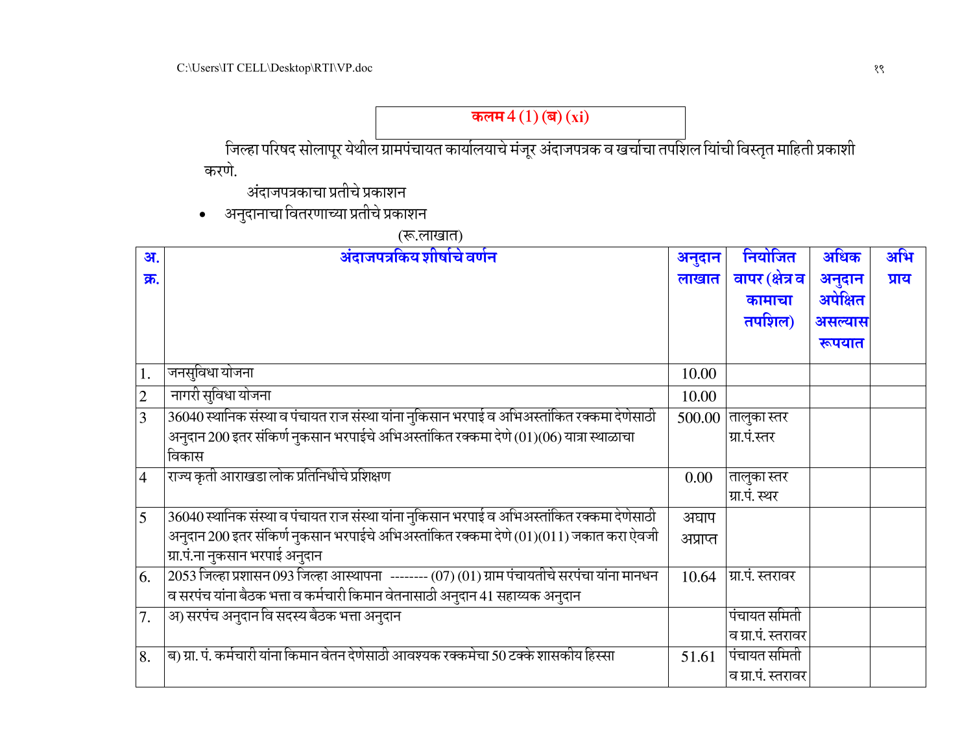| अ.             | अंदाजपत्रकिय शीर्षाचे वर्णन                                                                     | अनुदान   | नियोजित               | अधिक     | अभि   |
|----------------|-------------------------------------------------------------------------------------------------|----------|-----------------------|----------|-------|
| क्र.           |                                                                                                 | लाखात    | वापर (क्षेत्र व       | अनुदान   | प्राय |
|                |                                                                                                 |          | कामाचा                | अपेक्षित |       |
|                |                                                                                                 |          |                       |          |       |
|                |                                                                                                 |          | तपशिल)                | असल्यास  |       |
|                |                                                                                                 |          |                       | रूपयात   |       |
| 1.             | जनसूविधा योजना                                                                                  | 10.00    |                       |          |       |
| $\overline{c}$ | नागरी सुविधा योजना                                                                              | 10.00    |                       |          |       |
| 3              | 36040 स्थानिक संस्था व पंचायत राज संस्था यांना नुकिसान भरपाई व अभिअस्तांकित रक्कमा देणेसाठी     |          | $500.00$  तालुका स्तर |          |       |
|                | अनुदान 200 इतर संकिर्ण नुकसान भरपाईचे अभिअस्तांकित रक्कमा देणे (01)(06) यात्रा स्थाळाचा         |          | ग्रा.पं.स्तर          |          |       |
|                | विकास                                                                                           |          |                       |          |       |
| $\overline{4}$ | राज्य कृती आराखडा लोक प्रतिनिधीचे प्रशिक्षण                                                     | 0.00     | तालुका स्तर           |          |       |
|                |                                                                                                 |          | ग्रा.पं. स्थर         |          |       |
| 5              | 36040 स्थानिक संस्था व पंचायत राज संस्था यांना नुकिसान भरपाई व अभिअस्तांकित रक्कमा देणेसाठी     | अघाप     |                       |          |       |
|                | अनुदान 200 इतर संकिर्ण नुकसान भरपाईचे अभिअस्तांकित रक्कमा देणे (01)(011) जकात करा ऐवजी          | अप्राप्त |                       |          |       |
|                | ग्रा.पं.ना नुकसान भरपाई अनुदान                                                                  |          |                       |          |       |
| 6.             | $2053$ जिल्हा प्रशासन 093 जिल्हा आस्थापना -------- (07) (01) ग्राम पंचायतीचे सरपंचा यांना मानधन | 10.64    | ग्रा.पं. स्तरावर      |          |       |
|                | व सरपंच यांना बैठक भत्ता व कर्मचारी किमान वेतनासाठी अनुदान 41 सहाय्यक अनुदान                    |          |                       |          |       |
| 7.             | अ) सरपंच अनुदान वि सदस्य बैठक भत्ता अनुदान                                                      |          | पंचायत समिती          |          |       |
|                |                                                                                                 |          | व ग्रा.पं. स्तरावर    |          |       |
| 8.             | ब) ग्रा. पं. कर्मचारी यांना किमान वेतन देणेसाठी आवश्यक रक्कमेचा 50 टक्के शासकीय हिस्सा          | 51.61    | पंचायत समिती          |          |       |
|                |                                                                                                 |          | व ग्रा.पं. स्तरावर    |          |       |

(रू.लाखात)

• अनुदानाचा वितरणाच्या प्रतीचे प्रकाशन

अंदाजपत्रकाचा प्रतीचे प्रकाशन

करणे.

जिल्हा परिषद सोलापूर येथील ग्रामपंचायत कार्यालयाचे मंजूर अंदाजपत्रक व खर्चाचा तपशिल यिांची विस्तृत माहिती प्रकाशी

कलम $4(1)$ (ब)  $(xi)$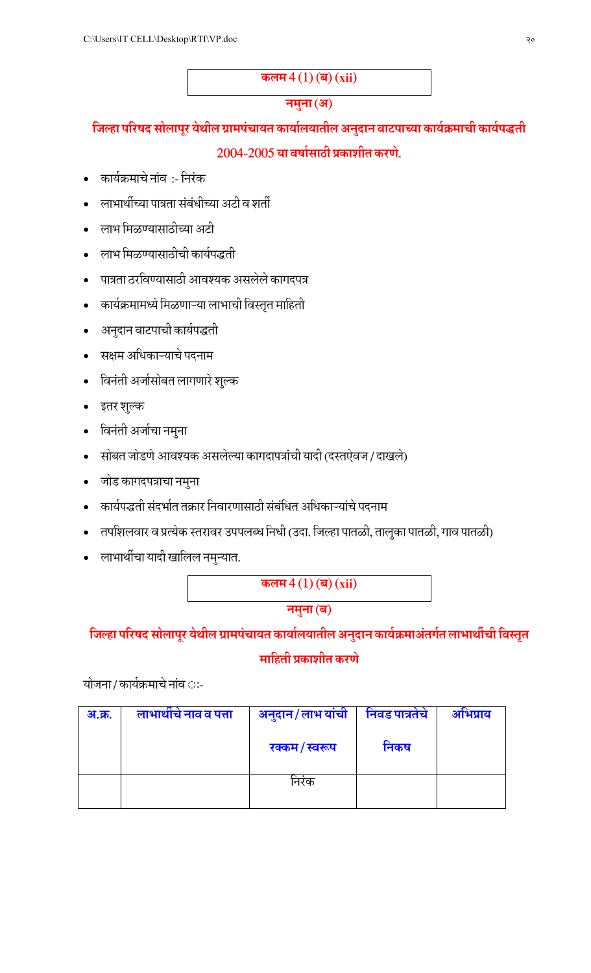## कलम $4(1)$  (ब) (xii)

## नमुना (अ)

# जिल्हा परिषद सोलापूर येथील ग्रामपचायत कार्यालयातील अनुदान वाटपाच्या कार्यक्रमाची कार्यपद्धती 2004-2005 या वर्षासाठी प्रकाशीत करणे.

- कार्यक्रमाचे नांव :- निरंक
- लाभार्थीच्या पात्रता संबंधीच्या अटी व शर्ती
- लाभ मिळण्यासाठीच्या अटी
- लाभ मिळण्यासाठीची कार्यपद्धती
- पात्रता ठरविण्यासाठी आवश्यक असलेले कागदपत्र
- कार्यक्रमामध्ये मिळणाऱ्या लाभाची विस्तृत माहिती
- अनुदान वाटपाची कार्यपद्धती
- सक्षम अधिकाऱ्याचे पदनाम
- विनंती अर्जासोबत लागणारे शुल्क
- इतर शुल्क
- विनंती अर्जाचा नमुना
- सोबत जोडणे आवश्यक असलेल्या कागदापत्रांची यादी (दस्तऐवज / दाखले)
- जोड कागदपत्राचा नमुना
- कार्यपद्धती संदर्भात तक्रार निवारणासाठी संबंधित अधिकाऱ्यांचे पदनाम
- तपशिलवार व प्रत्येक स्तरावर उपपलब्ध निधी (उदा. जिल्हा पातळी, तालुका पातळी, गाव पातळी)
- लाभार्थीचा यादी खालिल नमुन्यात.

कलम $4(1)$  (ब)  $(xii)$ 

नमुना (ब)

## जिल्हा परिषद सोलापूर येथील ग्रामपचायत कार्यालयातील अनुदान कार्यक्रमाअतर्गत लाभार्थीची विस्तृत

## माहिती प्रकाशीत करणे

योजना / कार्यक्रमाचे नांव ः-

| <u>अ.क्र.</u> | लाभाथीचे नाव व पत्ता | अनुदान/लाभ यांची | निवड पात्रतंच | अभिप्राय |
|---------------|----------------------|------------------|---------------|----------|
|               |                      | रक्कम/स्वरूप     | निकष          |          |
|               |                      | निरक             |               |          |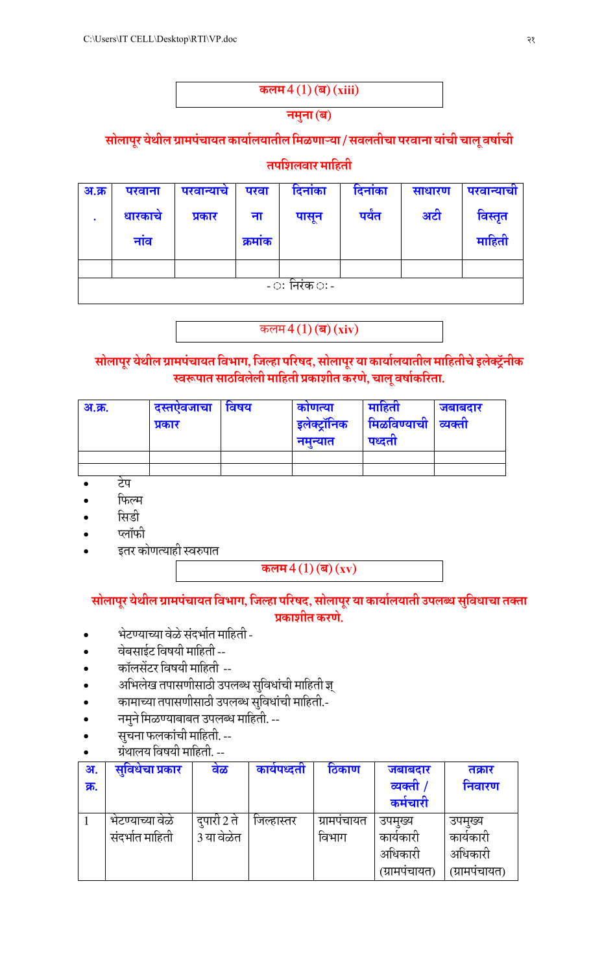| कलम $4(1)$ (ब) (xiii) |
|-----------------------|
| नमुना (ब)             |

## सोलापूर येथील ग्रामपंचायत कार्यालयातील मिळणाऱ्या / सवलतीचा परवाना यांची चालू वर्षाची

## तपशिलवार माहिती

| अ.क्र | परवाना        | परवान्याचे | परवा   | दिनाका | दिनाका | साधारण | परवान्याची |  |  |  |  |
|-------|---------------|------------|--------|--------|--------|--------|------------|--|--|--|--|
|       | धारकाचे       | प्रकार     | ना     | पासून  | पर्यंत | अटी    | विस्तृत    |  |  |  |  |
|       | नाव           |            | क्रमाक |        |        |        | माहिती     |  |  |  |  |
|       |               |            |        |        |        |        |            |  |  |  |  |
|       |               |            |        |        |        |        |            |  |  |  |  |
|       | - ः निरंक ः - |            |        |        |        |        |            |  |  |  |  |

## कलम $4(1)$  (ब)  $(xiv)$

## सोलापूर येथील ग्रामपंचायत विभाग, जिल्हा परिषद, सोलापूर या कार्यालयातील माहितीचे इलेक्ट्रॅनीक स्वरूपात साठविलेली माहिती प्रकाशीत करणे, चालू वर्षाकरिता.

| <u>अ.क्र.</u> | दस्तएवजाचा<br>प्रकार | ावषय | काणत्या<br>$\sim$<br>इलेक्ट्रानिक<br>नमन्यात | माहता<br>मिळविण्याची<br>पध्दता | जबाबदार<br>व्यक्ता |
|---------------|----------------------|------|----------------------------------------------|--------------------------------|--------------------|
|               |                      |      |                                              |                                |                    |
|               |                      |      |                                              |                                |                    |

टेप

- फिल्म
- सिडी
- प्लॉफी
- इतर कोणत्याही स्वरुपात

## कलम $4(1)$ (ब) $(xv)$

## सोलापूर येथील ग्रामपंचायत विभाग, जिल्हा परिषद, सोलापूर या कार्यालयाती उपलब्ध सुविधाचा तक्ता प्रकाशीत करणे.

- भेटण्याच्या वेळे संदर्भात माहिती -
- वेबसाईट विषयी माहिती --
- कॉलसेंटर विषयी माहिती --
- अभिलेख तपासणीसाठी उपलब्ध सुविधांची माहिती ज्ञ्
- कामाच्या तपासणीसाठी उपलब्ध सुविधांची माहिती.-
- नमुने मिळण्याबाबत उपलब्ध माहिती. --
- सूचना फलकांची माहिती. --
- ग्रंथालय विषयी माहिती. --

| अ.   | सुविधेचा प्रकार | वेळ         | कायपध्दता  | ठिकाण      | जबाबदार      | तक्रार       |
|------|-----------------|-------------|------------|------------|--------------|--------------|
| क्र. |                 |             |            |            | व्यक्ती      | निवारण       |
|      |                 |             |            |            | कमचारी       |              |
|      | भेटण्याच्या वळ  | दुपारी 2 ते | जिल्हास्तर | ग्रामपचायत | उपमुख्य      | उपमुख्य      |
|      | संदर्भात माहिती | 3 या वेळेत  |            | विभाग      | कायकारा      | कार्यकारो    |
|      |                 |             |            |            | अधिकारी      | अधिकारी      |
|      |                 |             |            |            | (ग्रामपचायत) | (ग्रामपचायत) |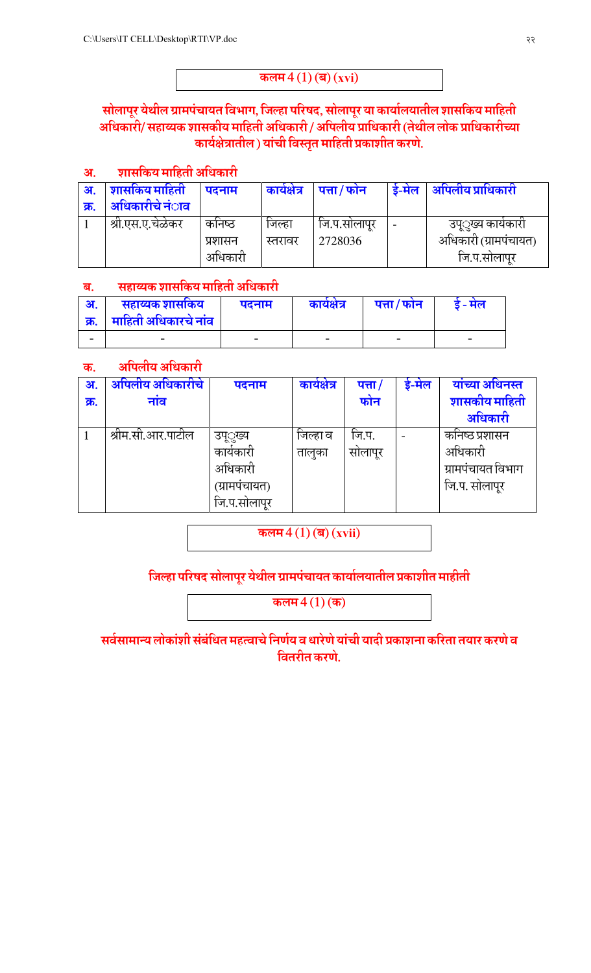## कलम $4(1)$  (ब)  $(xvi)$

## सोलापूर येथील ग्रामपंचायत विभाग, जिल्हा परिषद, सोलापूर या कार्यालयातील शासकिय माहिती अधिकारी/ सहाय्यक शासकीय माहिती अधिकारी / अपिलीय प्राधिकारी (तेथील लोक प्राधिकारीच्या कार्यक्षेत्रातील) यांची विस्तृत माहिती प्रकाशीत करणे.

#### शासकिय माहिती अधिकारी अ.

| अ.   | शासकिय माहिती           | पदनाम   | कार्यक्षेत्र | $\mid$ पत्ता / फोन | डे-मेल                   | ्अपिलीय प्राधिकारी    |
|------|-------------------------|---------|--------------|--------------------|--------------------------|-----------------------|
| क्र. | अधिकारीचे नं <b>ा</b> व |         |              |                    |                          |                       |
|      | श्रा.एस.ए.चेळेकर        | कोनष्ठ  | जिल्हा       | जि.प.सोलापुर       | $\overline{\phantom{0}}$ | उप््ख्य कार्यकारो     |
|      |                         | प्रशासन | स्तरावर      | 2728036            |                          | अधिकारी (ग्रामपंचायत) |
|      |                         | अधिकारी |              |                    |                          | जि.प.सोलापुर          |

#### सहाय्यक शासकिय माहिती अधिकारी ब.

| अ.   | सहाय्यक शासकिय         | पदनाम | कार्यक्षेत्र             | पत्ता / फोन | - मल |
|------|------------------------|-------|--------------------------|-------------|------|
| क्र. | । माहिती अधिकारचे नांव |       |                          |             |      |
| -    | $\sim$                 |       | $\overline{\phantom{a}}$ | ۰           |      |

#### अपिलीय अधिकारी क.

| अ.   | अपिलीय अधिकारीचे  | पदनाम         | कार्यक्षेत्र | पत्ता / | डे-मेल | यांच्या अधिनस्त   |
|------|-------------------|---------------|--------------|---------|--------|-------------------|
| क्र. | नाव               |               |              | फोन     |        | शासकीय माहिती     |
|      |                   |               |              |         |        | अधिकारी           |
|      | श्रीम.सी.आर.पाटील | उप्ूख्य       | जिल्हा व     | जि.प.   |        | कनिष्ठ प्रशासन    |
|      |                   | कायकारा       | तालुका       | सोलापूर |        | अधिकारी           |
|      |                   | अधिकारी       |              |         |        | ग्रामपंचायत विभाग |
|      |                   | (ग्रामपंचायत) |              |         |        | जि.प. सोलापूर     |
|      |                   | जि.प.सोलापूर  |              |         |        |                   |

कलम  $4(1)$  (ब)  $(xvii)$ 

## जिल्हा परिषद सोलापूर येथील ग्रामपंचायत कार्यालयातील प्रकाशीत माहीती

कलम $4(1)$ (क)

सर्वसामान्य लोकांशी संबंधित महत्वाचे निर्णय व धारेणे यांची यादी प्रकाशना करिता तयार करणे व वितरीत करणे.